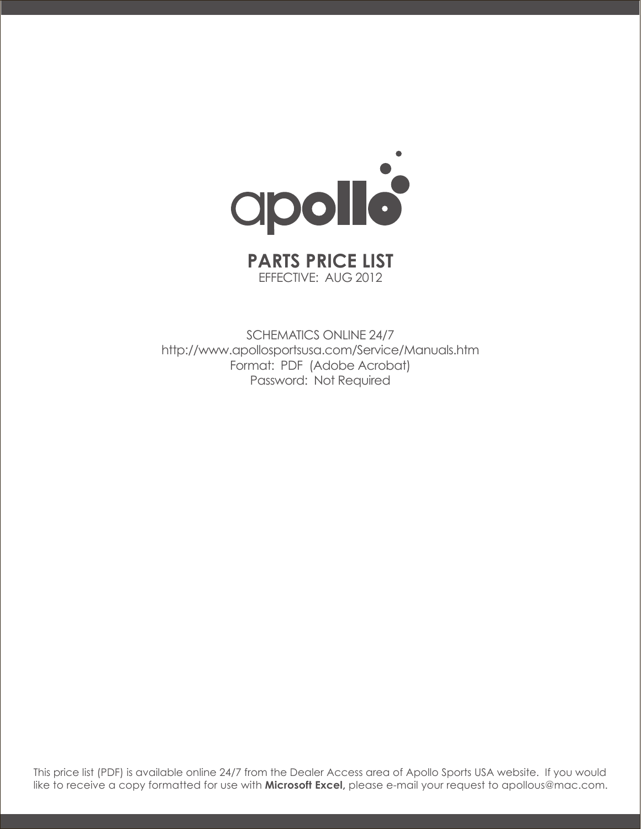

## EFFECTIVE: AUG 2012

SCHEMATICS ONLINE 24/7 http://www.apollosportsusa.com/Service/Manuals.htm Format: PDF (Adobe Acrobat) Password: Not Required

This price list (PDF) is available online 24/7 from the Dealer Access area of Apollo Sports USA website. If you would like to receive a copy formatted for use with **Microsoft Excel,** please e-mail your request to apollous@mac.com.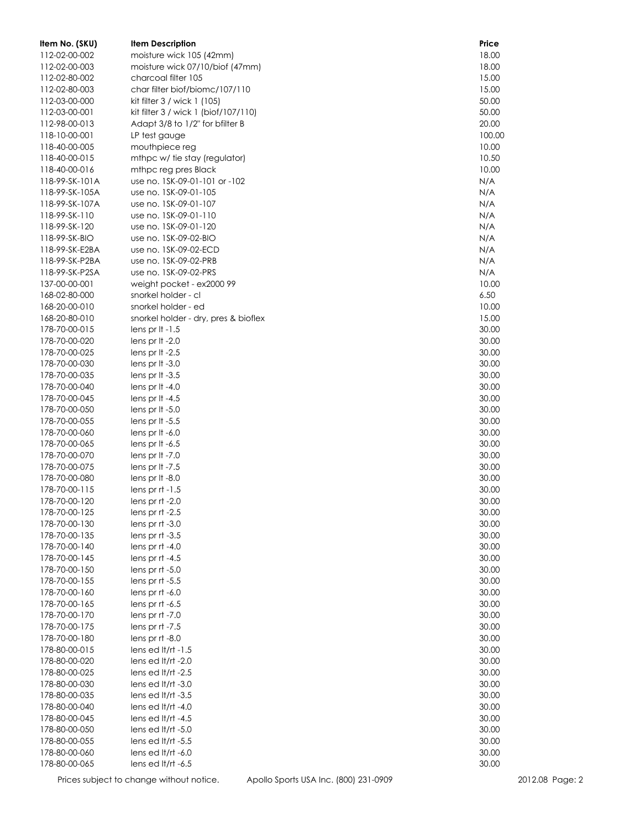| Item No. (SKU) | <b>Item Description</b>              | Price  |
|----------------|--------------------------------------|--------|
| 112-02-00-002  | moisture wick 105 (42mm)             | 18.00  |
| 112-02-00-003  | moisture wick 07/10/biof (47mm)      | 18.00  |
| 112-02-80-002  | charcoal filter 105                  | 15.00  |
| 112-02-80-003  | char filter biof/biomc/107/110       | 15.00  |
| 112-03-00-000  | kit filter 3 / wick 1 (105)          | 50.00  |
| 112-03-00-001  | kit filter 3 / wick 1 (biof/107/110) | 50.00  |
| 112-98-00-013  | Adapt 3/8 to 1/2" for bfilter B      | 20.00  |
| 118-10-00-001  | LP test gauge                        | 100.00 |
| 118-40-00-005  | mouthpiece reg                       | 10.00  |
| 118-40-00-015  | mthpc w/ tie stay (regulator)        | 10.50  |
| 118-40-00-016  | mthpc reg pres Black                 | 10.00  |
| 118-99-SK-101A | use no. 1SK-09-01-101 or -102        | N/A    |
| 118-99-SK-105A | use no. 1SK-09-01-105                | N/A    |
| 118-99-SK-107A | use no. 1SK-09-01-107                | N/A    |
| 118-99-SK-110  | use no. 1SK-09-01-110                | N/A    |
| 118-99-SK-120  | use no. 1SK-09-01-120                | N/A    |
| 118-99-SK-BIO  | use no. 1SK-09-02-BIO                | N/A    |
| 118-99-SK-E2BA | use no. 1SK-09-02-ECD                | N/A    |
| 118-99-SK-P2BA | use no. 1SK-09-02-PRB                | N/A    |
| 118-99-SK-P2SA | use no. 1SK-09-02-PRS                | N/A    |
| 137-00-00-001  | weight pocket - ex2000 99            | 10.00  |
| 168-02-80-000  | snorkel holder - cl                  | 6.50   |
| 168-20-00-010  | snorkel holder - ed                  | 10.00  |
| 168-20-80-010  | snorkel holder - dry, pres & bioflex | 15.00  |
| 178-70-00-015  | lens pr $It -1.5$                    | 30.00  |
| 178-70-00-020  | lens pr It -2.0                      | 30.00  |
| 178-70-00-025  | lens pr It -2.5                      | 30.00  |
| 178-70-00-030  | lens pr It $-3.0$                    | 30.00  |
| 178-70-00-035  | lens pr It $-3.5$                    | 30.00  |
| 178-70-00-040  | lens pr $It -4.0$                    | 30.00  |
| 178-70-00-045  | lens pr $It -4.5$                    | 30.00  |
| 178-70-00-050  | lens pr $It -5.0$                    | 30.00  |
| 178-70-00-055  | lens pr $It -5.5$                    | 30.00  |
| 178-70-00-060  | lens pr It $-6.0$                    | 30.00  |
| 178-70-00-065  | lens pr $It -6.5$                    | 30.00  |
| 178-70-00-070  | lens pr It $-7.0$                    | 30.00  |
| 178-70-00-075  | lens pr It -7.5                      | 30.00  |
| 178-70-00-080  | lens pr It -8.0                      | 30.00  |
| 178-70-00-115  | lens pr $rt -1.5$                    | 30.00  |
| 178-70-00-120  | lens pr $rt -2.0$                    | 30.00  |
| 178-70-00-125  | lens pr rt -2.5                      | 30.00  |
| 178-70-00-130  | lens pr $rt -3.0$                    | 30.00  |
| 178-70-00-135  | lens pr rt -3.5                      | 30.00  |
| 178-70-00-140  | lens pr $rt -4.0$                    | 30.00  |
| 178-70-00-145  | lens pr $rt -4.5$                    | 30.00  |
| 178-70-00-150  | lens pr $rt - 5.0$                   | 30.00  |
| 178-70-00-155  | lens pr $rt - 5.5$                   | 30.00  |
| 178-70-00-160  | lens pr rt -6.0                      | 30.00  |
| 178-70-00-165  | lens pr rt -6.5                      | 30.00  |
| 178-70-00-170  | lens pr $rt -7.0$                    | 30.00  |
| 178-70-00-175  | lens pr $rt -7.5$                    | 30.00  |
| 178-70-00-180  | lens pr rt -8.0                      | 30.00  |
| 178-80-00-015  | lens ed $lt/rt - 1.5$                | 30.00  |
| 178-80-00-020  | lens ed lt/rt -2.0                   | 30.00  |
| 178-80-00-025  | lens ed $lt/rt -2.5$                 | 30.00  |
| 178-80-00-030  | lens ed lt/rt -3.0                   | 30.00  |
| 178-80-00-035  | lens ed lt/rt -3.5                   | 30.00  |
| 178-80-00-040  | lens ed $lt/rt -4.0$                 | 30.00  |
| 178-80-00-045  | lens ed $lt/rt -4.5$                 | 30.00  |
| 178-80-00-050  | lens ed $lt/rt - 5.0$                | 30.00  |
| 178-80-00-055  | lens ed $lt/rt - 5.5$                | 30.00  |
| 178-80-00-060  | lens ed lt/rt -6.0                   | 30.00  |
| 178-80-00-065  | lens ed lt/rt -6.5                   | 30.00  |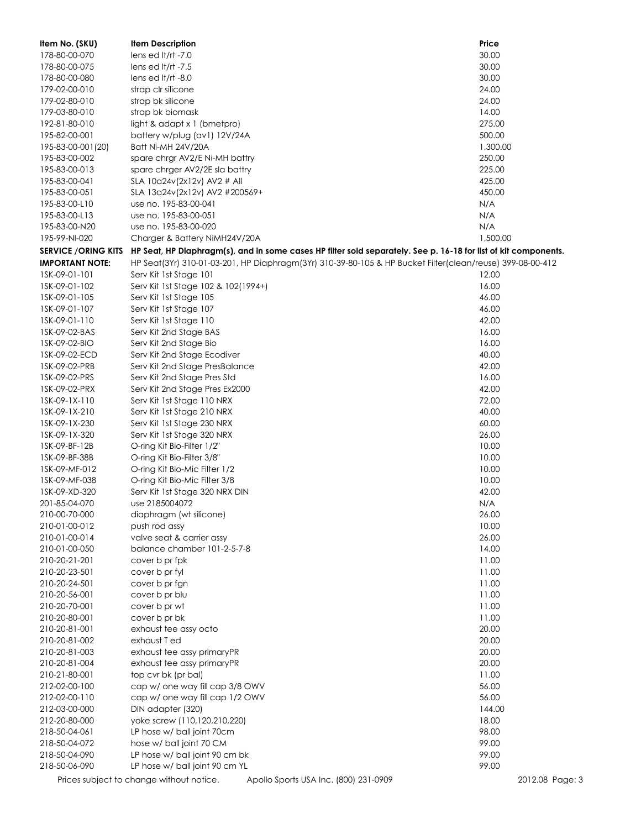| Item No. (SKU)             | <b>Item Description</b>                                                                                         | Price           |
|----------------------------|-----------------------------------------------------------------------------------------------------------------|-----------------|
| 178-80-00-070              | lens ed It/rt $-7.0$                                                                                            | 30.00           |
| 178-80-00-075              | lens ed It/rt $-7.5$                                                                                            | 30.00           |
| 178-80-00-080              | lens ed $lt/rt -8.0$                                                                                            | 30.00           |
| 179-02-00-010              | strap clr silicone                                                                                              | 24.00           |
| 179-02-80-010              | strap bk silicone                                                                                               | 24.00           |
| 179-03-80-010              | strap bk biomask                                                                                                | 14.00           |
| 192-81-80-010              | light & adapt $x$ 1 (bmetpro)                                                                                   | 275.00          |
| 195-82-00-001              | battery w/plug (av1) 12V/24A                                                                                    | 500.00          |
| 195-83-00-001(20)          | Batt Ni-MH 24V/20A                                                                                              | 1,300.00        |
| 195-83-00-002              | spare chrgr AV2/E Ni-MH battry                                                                                  | 250.00          |
| 195-83-00-013              | spare chrger AV2/2E sla battry                                                                                  | 225.00          |
| 195-83-00-041              | SLA 10a24v(2x12v) AV2 # All                                                                                     | 425.00          |
| 195-83-00-051              | SLA 13a24v(2x12v) AV2 #200569+                                                                                  | 450.00          |
| 195-83-00-L10              | use no. 195-83-00-041                                                                                           | N/A             |
| 195-83-00-L13              | use no. 195-83-00-051                                                                                           | N/A             |
| 195-83-00-N20              | use no. 195-83-00-020                                                                                           | N/A             |
| 195-99-NI-020              | Charger & Battery NiMH24V/20A                                                                                   | 1,500.00        |
| <b>SERVICE /ORING KITS</b> | HP Seat, HP Diaphragm(s), and in some cases HP filter sold separately. See p. 16-18 for list of kit components. |                 |
| <b>IMPORTANT NOTE:</b>     | HP Seat(3Yr) 310-01-03-201, HP Diaphragm(3Yr) 310-39-80-105 & HP Bucket Filter(clean/reuse) 399-08-00-412       |                 |
| 1SK-09-01-101              | Serv Kit 1st Stage 101                                                                                          | 12.00           |
| 1SK-09-01-102              |                                                                                                                 | 16.00           |
|                            | Serv Kit 1st Stage 102 & 102(1994+)                                                                             |                 |
| 1SK-09-01-105              | Serv Kit 1st Stage 105                                                                                          | 46.00<br>46.00  |
| 1SK-09-01-107              | Serv Kit 1st Stage 107                                                                                          |                 |
| 1SK-09-01-110              | Serv Kit 1st Stage 110                                                                                          | 42.00           |
| 1SK-09-02-BAS              | Serv Kit 2nd Stage BAS                                                                                          | 16.00           |
| 1SK-09-02-BIO              | Serv Kit 2nd Stage Bio                                                                                          | 16.00           |
| 1SK-09-02-ECD              | Serv Kit 2nd Stage Ecodiver                                                                                     | 40.00           |
| 1SK-09-02-PRB              | Serv Kit 2nd Stage PresBalance                                                                                  | 42.00           |
| 1SK-09-02-PRS              | Serv Kit 2nd Stage Pres Std                                                                                     | 16.00           |
| 1SK-09-02-PRX              | Serv Kit 2nd Stage Pres Ex2000                                                                                  | 42.00           |
| 1SK-09-1X-110              | Serv Kit 1st Stage 110 NRX                                                                                      | 72.00           |
| 1SK-09-1X-210              | Serv Kit 1st Stage 210 NRX                                                                                      | 40.00           |
| 1SK-09-1X-230              | Serv Kit 1st Stage 230 NRX                                                                                      | 60.00           |
| 1SK-09-1X-320              | Serv Kit 1st Stage 320 NRX                                                                                      | 26.00           |
| 1SK-09-BF-12B              | O-ring Kit Bio-Filter 1/2"                                                                                      | 10.00           |
| 1SK-09-BF-38B              | O-ring Kit Bio-Filter 3/8"                                                                                      | 10.00           |
| 1SK-09-MF-012              | O-ring Kit Bio-Mic Filter 1/2                                                                                   | 10.00           |
| 1SK-09-MF-038              | O-ring Kit Bio-Mic Filter 3/8                                                                                   | 10.00           |
| 1SK-09-XD-320              | Serv Kit 1st Stage 320 NRX DIN                                                                                  | 42.00           |
| 201-85-04-070              | use 2185004072                                                                                                  | N/A             |
| 210-00-70-000              | diaphragm (wt silicone)                                                                                         | 26.00           |
| 210-01-00-012              | push rod assy                                                                                                   | 10.00           |
| 210-01-00-014              | valve seat & carrier assy                                                                                       | 26.00           |
| 210-01-00-050              | balance chamber 101-2-5-7-8                                                                                     | 14.00           |
| 210-20-21-201              | cover b pr fpk                                                                                                  | 11.00           |
| 210-20-23-501              | cover b pr fyl                                                                                                  | 11.00           |
| 210-20-24-501              | cover b pr fgn                                                                                                  | 11.00           |
| 210-20-56-001              | cover b pr blu                                                                                                  | 11.00           |
| 210-20-70-001              | cover b pr wt                                                                                                   | 11.00           |
| 210-20-80-001              | cover b pr bk                                                                                                   | 11.00           |
| 210-20-81-001              | exhaust tee assy octo                                                                                           | 20.00           |
| 210-20-81-002              | exhaust T ed                                                                                                    | 20.00           |
| 210-20-81-003              | exhaust tee assy primaryPR                                                                                      | 20.00           |
| 210-20-81-004              | exhaust tee assy primaryPR                                                                                      | 20.00           |
| 210-21-80-001              | top cvr bk (pr bal)                                                                                             | 11.00           |
| 212-02-00-100              | cap w/ one way fill cap 3/8 OWV                                                                                 | 56.00           |
| 212-02-00-110              | cap w/ one way fill cap 1/2 OWV                                                                                 | 56.00           |
| 212-03-00-000              | DIN adapter (320)                                                                                               | 144.00          |
| 212-20-80-000              | yoke screw (110,120,210,220)                                                                                    | 18.00           |
| 218-50-04-061              | LP hose w/ ball joint 70cm                                                                                      | 98.00           |
| 218-50-04-072              | hose w/ ball joint 70 CM                                                                                        | 99.00           |
| 218-50-04-090              | LP hose w/ ball joint 90 cm bk                                                                                  | 99.00           |
| 218-50-06-090              | LP hose w/ ball joint 90 cm YL                                                                                  | 99.00           |
|                            | Prices subject to change without notice.<br>Apollo Sports USA Inc. (800) 231-0909                               | 2012.08 Page: 3 |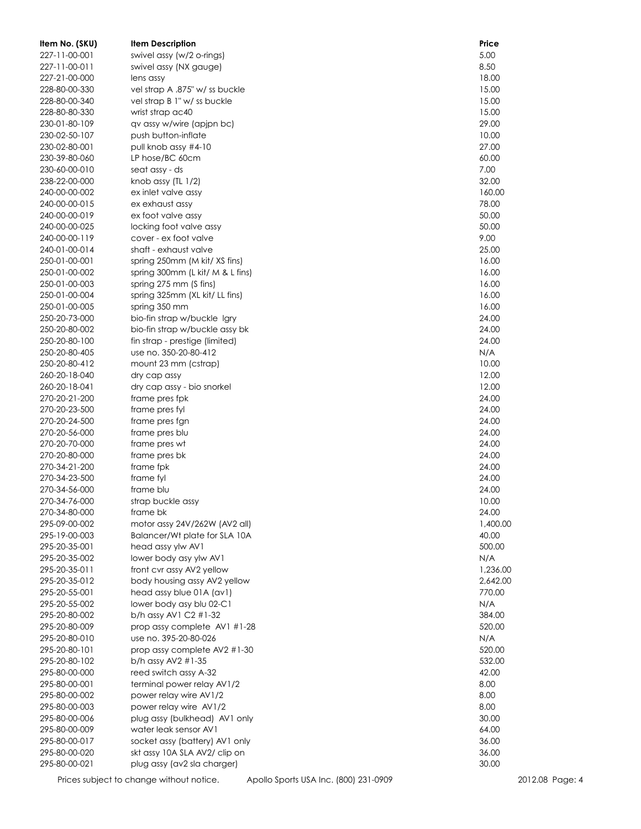| Item No. (SKU)                 | <b>Item Description</b>              | Price        |
|--------------------------------|--------------------------------------|--------------|
| 227-11-00-001                  | swivel assy (w/2 o-rings)            | 5.00         |
| 227-11-00-011                  | swivel assy (NX gauge)               | 8.50         |
| 227-21-00-000                  | lens assy                            | 18.00        |
| 228-80-00-330                  | vel strap A .875" w/ ss buckle       | 15.00        |
| 228-80-00-340                  | vel strap B 1" w/ ss buckle          | 15.00        |
| 228-80-80-330                  | wrist strap ac40                     | 15.00        |
| 230-01-80-109                  | qv assy w/wire (apjpn bc)            | 29.00        |
| 230-02-50-107                  | push button-inflate                  | 10.00        |
| 230-02-80-001                  | pull knob assy #4-10                 | 27.00        |
| 230-39-80-060                  | LP hose/BC 60cm                      | 60.00        |
| 230-60-00-010                  | seat assy - ds                       | 7.00         |
| 238-22-00-000                  | knob assy (TL 1/2)                   | 32.00        |
| 240-00-00-002                  | ex inlet valve assy                  | 160.00       |
| 240-00-00-015                  | ex exhaust assy                      | 78.00        |
| 240-00-00-019                  | ex foot valve assy                   | 50.00        |
| 240-00-00-025                  | locking foot valve assy              | 50.00        |
| 240-00-00-119                  | cover - ex foot valve                | 9.00         |
| 240-01-00-014                  | shaft - exhaust valve                | 25.00        |
| 250-01-00-001                  | spring 250mm (M kit/ XS fins)        | 16.00        |
| 250-01-00-002                  | spring 300mm (L kit/ M & L fins)     | 16.00        |
| 250-01-00-003                  | spring 275 mm (S fins)               | 16.00        |
| 250-01-00-004                  | spring 325mm (XL kit/ LL fins)       | 16.00        |
| 250-01-00-005                  | spring 350 mm                        | 16.00        |
| 250-20-73-000                  | bio-fin strap w/buckle Igry          | 24.00        |
| 250-20-80-002                  | bio-fin strap w/buckle assy bk       | 24.00        |
| 250-20-80-100                  | fin strap - prestige (limited)       | 24.00        |
| 250-20-80-405<br>250-20-80-412 | use no. 350-20-80-412                | N/A<br>10.00 |
| 260-20-18-040                  | mount 23 mm (cstrap)<br>dry cap assy | 12.00        |
| 260-20-18-041                  | dry cap assy - bio snorkel           | 12.00        |
| 270-20-21-200                  | frame pres fpk                       | 24.00        |
| 270-20-23-500                  | frame pres fyl                       | 24.00        |
| 270-20-24-500                  | frame pres fgn                       | 24.00        |
| 270-20-56-000                  | frame pres blu                       | 24.00        |
| 270-20-70-000                  | frame pres wt                        | 24.00        |
| 270-20-80-000                  | frame pres bk                        | 24.00        |
| 270-34-21-200                  | frame fpk                            | 24.00        |
| 270-34-23-500                  | frame fyl                            | 24.00        |
| 270-34-56-000                  | frame blu                            | 24.00        |
| 270-34-76-000                  | strap buckle assy                    | 10.00        |
| 270-34-80-000                  | frame bk                             | 24.00        |
| 295-09-00-002                  | motor assy 24V/262W (AV2 all)        | 1,400.00     |
| 295-19-00-003                  | Balancer/Wt plate for SLA 10A        | 40.00        |
| 295-20-35-001                  | head assy ylw AV1                    | 500.00       |
| 295-20-35-002                  | lower body asy ylw AV1               | N/A          |
| 295-20-35-011                  | front cvr assy AV2 yellow            | 1,236.00     |
| 295-20-35-012                  | body housing assy AV2 yellow         | 2,642.00     |
| 295-20-55-001                  | head assy blue 01A (av1)             | 770.00       |
| 295-20-55-002                  | lower body asy blu 02-C1             | N/A          |
| 295-20-80-002                  | b/h assy AV1 C2 #1-32                | 384.00       |
| 295-20-80-009                  | prop assy complete AV1 #1-28         | 520.00       |
| 295-20-80-010                  | use no. 395-20-80-026                | N/A          |
| 295-20-80-101                  | prop assy complete AV2 #1-30         | 520.00       |
| 295-20-80-102                  | b/h assy AV2 #1-35                   | 532.00       |
| 295-80-00-000                  | reed switch assy A-32                | 42.00        |
| 295-80-00-001                  | terminal power relay AV1/2           | 8.00         |
| 295-80-00-002                  | power relay wire AV1/2               | 8.00         |
| 295-80-00-003                  | power relay wire AV1/2               | 8.00         |
| 295-80-00-006                  | plug assy (bulkhead) AV1 only        | 30.00        |
| 295-80-00-009                  | water leak sensor AV1                | 64.00        |
| 295-80-00-017                  | socket assy (battery) AV1 only       | 36.00        |
| 295-80-00-020                  | skt assy 10A SLA AV2/ clip on        | 36.00        |
| 295-80-00-021                  | plug assy (av2 sla charger)          | 30.00        |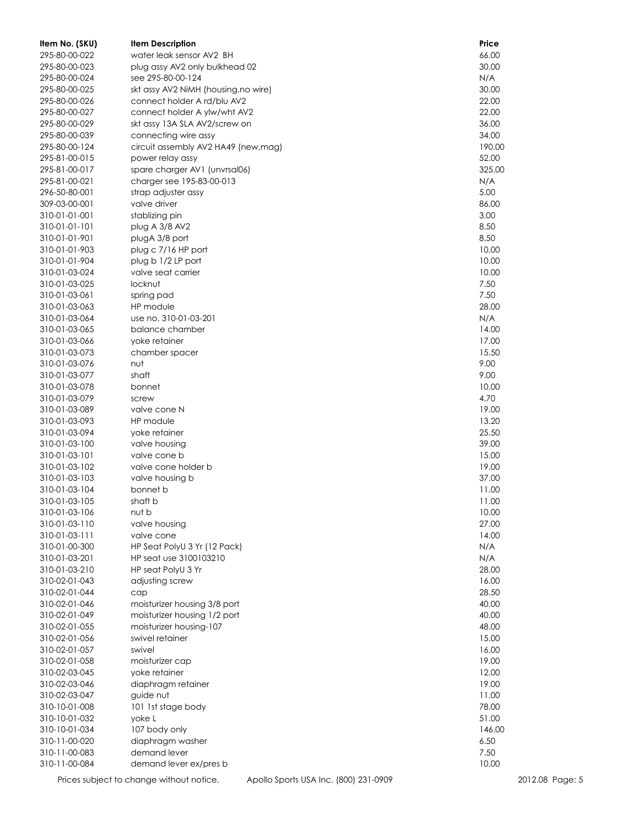| Item No. (SKU)                 | <b>Item Description</b>              | Price         |
|--------------------------------|--------------------------------------|---------------|
| 295-80-00-022                  | water leak sensor AV2 BH             | 66.00         |
| 295-80-00-023                  | plug assy AV2 only bulkhead 02       | 30.00         |
| 295-80-00-024                  | see 295-80-00-124                    | N/A           |
| 295-80-00-025                  | skt assy AV2 NiMH (housing, no wire) | 30.00         |
| 295-80-00-026                  | connect holder A rd/blu AV2          | 22.00         |
| 295-80-00-027                  | connect holder A ylw/wht AV2         | 22.00         |
| 295-80-00-029                  | skt assy 13A SLA AV2/screw on        | 36.00         |
| 295-80-00-039                  | connecting wire assy                 | 34.00         |
| 295-80-00-124                  | circuit assembly AV2 HA49 (new, mag) | 190.00        |
| 295-81-00-015                  | power relay assy                     | 52.00         |
| 295-81-00-017                  | spare charger AV1 (unvrsal06)        | 325.00        |
| 295-81-00-021                  | charger see 195-83-00-013            | N/A           |
| 296-50-80-001                  | strap adjuster assy                  | 5.00          |
| 309-03-00-001                  | valve driver                         | 86.00         |
| 310-01-01-001                  | stablizing pin                       | 3.00          |
| 310-01-01-101                  | plug A 3/8 AV2                       | 8.50          |
| 310-01-01-901                  | plugA 3/8 port                       | 8.50          |
| 310-01-01-903                  | plug c 7/16 HP port                  | 10.00         |
| 310-01-01-904                  | plug b 1/2 LP port                   | 10.00         |
| 310-01-03-024                  | valve seat carrier                   | 10.00         |
| 310-01-03-025                  | locknut                              | 7.50          |
| 310-01-03-061                  | spring pad                           | 7.50<br>28.00 |
| 310-01-03-063<br>310-01-03-064 | HP module<br>use no. 310-01-03-201   | N/A           |
| 310-01-03-065                  | balance chamber                      | 14.00         |
| 310-01-03-066                  |                                      | 17.00         |
| 310-01-03-073                  | yoke retainer<br>chamber spacer      | 15.50         |
| 310-01-03-076                  | nut                                  | 9.00          |
| 310-01-03-077                  | shaft                                | 9.00          |
| 310-01-03-078                  | bonnet                               | 10.00         |
| 310-01-03-079                  | screw                                | 4.70          |
| 310-01-03-089                  | valve cone N                         | 19.00         |
| 310-01-03-093                  | HP module                            | 13.20         |
| 310-01-03-094                  | yoke retainer                        | 25.50         |
| 310-01-03-100                  | valve housing                        | 39.00         |
| 310-01-03-101                  | valve cone b                         | 15.00         |
| 310-01-03-102                  | valve cone holder b                  | 19.00         |
| 310-01-03-103                  | valve housing b                      | 37.00         |
| 310-01-03-104                  | bonnet b                             | 11.00         |
| 310-01-03-105                  | shaft b                              | 11.00         |
| 310-01-03-106                  | nut b                                | 10.00         |
| 310-01-03-110                  | valve housing                        | 27.00         |
| 310-01-03-111                  | valve cone                           | 14.00         |
| 310-01-00-300                  | HP Seat PolyU 3 Yr (12 Pack)         | N/A           |
| 310-01-03-201                  | HP seat use 3100103210               | N/A           |
| 310-01-03-210                  | HP seat PolyU 3 Yr                   | 28.00         |
| 310-02-01-043                  | adjusting screw                      | 16.00         |
| 310-02-01-044                  | cap                                  | 28.50         |
| 310-02-01-046                  | moisturizer housing 3/8 port         | 40.00         |
| 310-02-01-049                  | moisturizer housing 1/2 port         | 40.00         |
| 310-02-01-055                  | moisturizer housing-107              | 48.00         |
| 310-02-01-056                  | swivel retainer                      | 15.00         |
| 310-02-01-057                  | swivel                               | 16.00         |
| 310-02-01-058                  | moisturizer cap                      | 19.00         |
| 310-02-03-045                  | yoke retainer                        | 12.00         |
| 310-02-03-046                  | diaphragm retainer                   | 19.00         |
| 310-02-03-047                  | guide nut                            | 11.00         |
| 310-10-01-008                  | 101 1st stage body                   | 78.00         |
| 310-10-01-032                  | yoke L                               | 51.00         |
| 310-10-01-034                  | 107 body only                        | 146.00        |
| 310-11-00-020                  | diaphragm washer                     | 6.50          |
| 310-11-00-083                  | demand lever                         | 7.50          |
| 310-11-00-084                  | demand lever ex/pres b               | 10.00         |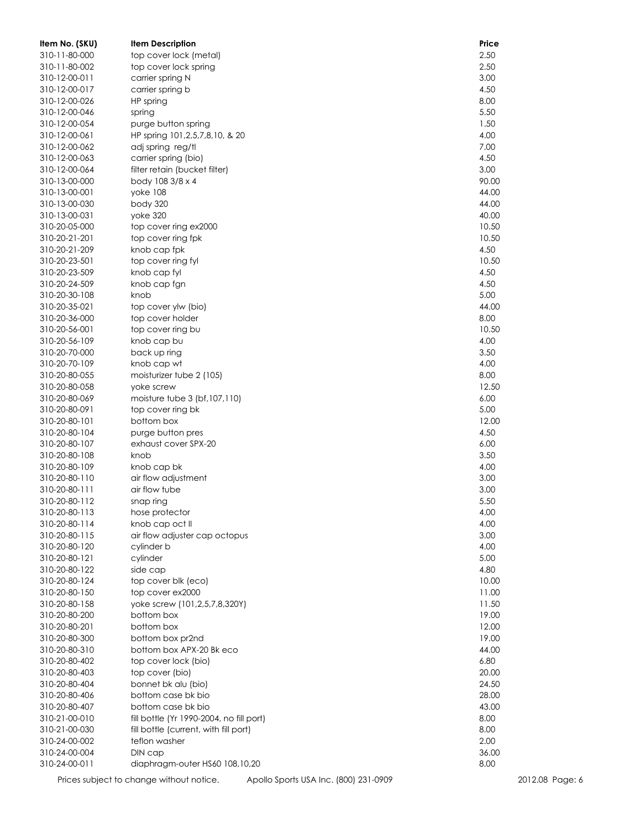| Item No. (SKU)                 | <b>Item Description</b>                  | Price        |
|--------------------------------|------------------------------------------|--------------|
| 310-11-80-000                  | top cover lock (metal)                   | 2.50         |
| 310-11-80-002                  | top cover lock spring                    | 2.50         |
| 310-12-00-011                  | carrier spring N                         | 3.00         |
| 310-12-00-017                  | carrier spring b                         | 4.50         |
| 310-12-00-026                  | HP spring                                | 8.00         |
| 310-12-00-046                  | spring                                   | 5.50         |
| 310-12-00-054                  | purge button spring                      | 1.50         |
| 310-12-00-061                  | HP spring 101, 2, 5, 7, 8, 10, & 20      | 4.00         |
| 310-12-00-062                  | adj spring reg/tl                        | 7.00         |
| 310-12-00-063                  | carrier spring (bio)                     | 4.50         |
| 310-12-00-064                  | filter retain (bucket filter)            | 3.00         |
| 310-13-00-000                  | body 108 3/8 x 4                         | 90.00        |
| 310-13-00-001                  | yoke 108                                 | 44.00        |
| 310-13-00-030                  | body 320                                 | 44.00        |
| 310-13-00-031                  | yoke 320                                 | 40.00        |
| 310-20-05-000                  | top cover ring ex2000                    | 10.50        |
| 310-20-21-201                  | top cover ring fpk                       | 10.50        |
| 310-20-21-209                  | knob cap fpk                             | 4.50         |
| 310-20-23-501                  | top cover ring fyl                       | 10.50        |
| 310-20-23-509                  | knob cap fyl                             | 4.50         |
| 310-20-24-509<br>310-20-30-108 | knob cap fgn                             | 4.50<br>5.00 |
| 310-20-35-021                  | knob<br>top cover ylw (bio)              | 44.00        |
| 310-20-36-000                  | top cover holder                         | 8.00         |
| 310-20-56-001                  | top cover ring bu                        | 10.50        |
| 310-20-56-109                  | knob cap bu                              | 4.00         |
| 310-20-70-000                  | back up ring                             | 3.50         |
| 310-20-70-109                  | knob cap wt                              | 4.00         |
| 310-20-80-055                  | moisturizer tube 2 (105)                 | 8.00         |
| 310-20-80-058                  | yoke screw                               | 12.50        |
| 310-20-80-069                  | moisture tube 3 (bf, 107, 110)           | 6.00         |
| 310-20-80-091                  | top cover ring bk                        | 5.00         |
| 310-20-80-101                  | bottom box                               | 12.00        |
| 310-20-80-104                  | purge button pres                        | 4.50         |
| 310-20-80-107                  | exhaust cover SPX-20                     | 6.00         |
| 310-20-80-108                  | knob                                     | 3.50         |
| 310-20-80-109                  | knob cap bk                              | 4.00         |
| 310-20-80-110                  | air flow adjustment                      | 3.00         |
| 310-20-80-111                  | air flow tube                            | 3.00         |
| 310-20-80-112                  | snap ring                                | 5.50         |
| 310-20-80-113                  | hose protector                           | 4.00         |
| 310-20-80-114                  | knob cap oct II                          | 4.00         |
| 310-20-80-115                  | air flow adjuster cap octopus            | 3.00         |
| 310-20-80-120                  | cylinder b                               | 4.00         |
| 310-20-80-121                  | cylinder                                 | 5.00         |
| 310-20-80-122                  | side cap                                 | 4.80         |
| 310-20-80-124                  | top cover blk (eco)                      | 10.00        |
| 310-20-80-150                  | top cover ex2000                         | 11.00        |
| 310-20-80-158                  | yoke screw (101, 2, 5, 7, 8, 320Y)       | 11.50        |
| 310-20-80-200                  | bottom box                               | 19.00        |
| 310-20-80-201                  | bottom box                               | 12.00        |
| 310-20-80-300                  | bottom box pr2nd                         | 19.00        |
| 310-20-80-310                  | bottom box APX-20 Bk eco                 | 44.00        |
| 310-20-80-402                  | top cover lock (bio)                     | 6.80         |
| 310-20-80-403                  | top cover (bio)                          | 20.00        |
| 310-20-80-404                  | bonnet bk alu (bio)                      | 24.50        |
| 310-20-80-406                  | bottom case bk bio                       | 28.00        |
| 310-20-80-407                  | bottom case bk bio                       | 43.00        |
| 310-21-00-010                  | fill bottle (Yr 1990-2004, no fill port) | 8.00         |
| 310-21-00-030                  | fill bottle (current, with fill port)    | 8.00         |
| 310-24-00-002                  | teflon washer                            | 2.00         |
| 310-24-00-004                  | DIN cap                                  | 36.00        |
| 310-24-00-011                  | diaphragm-outer HS60 108,10,20           | 8.00         |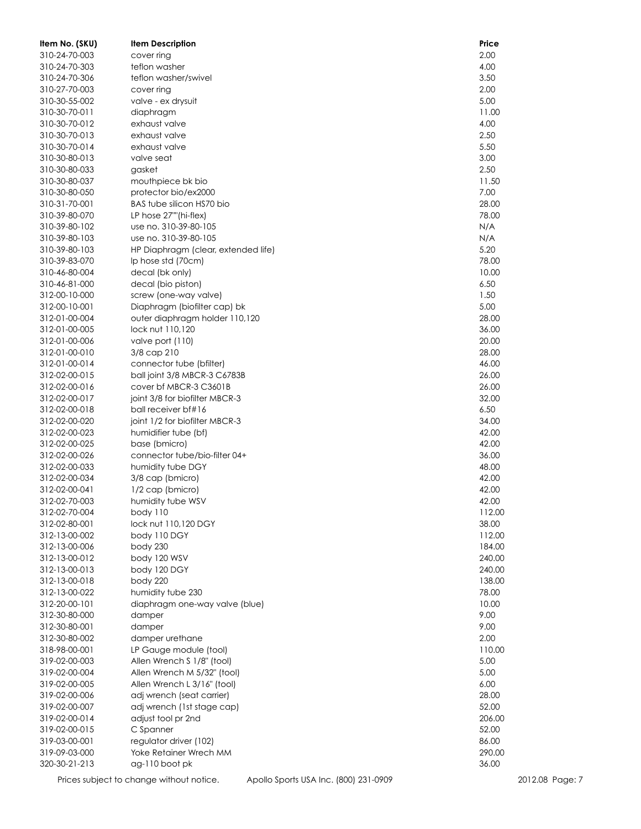| Item No. (SKU)                 | <b>Item Description</b>                             | Price          |
|--------------------------------|-----------------------------------------------------|----------------|
| 310-24-70-003                  | cover ring                                          | 2.00           |
| 310-24-70-303                  | teflon washer                                       | 4.00           |
| 310-24-70-306                  | teflon washer/swivel                                | 3.50           |
| 310-27-70-003                  | cover ring                                          | 2.00           |
| 310-30-55-002                  | valve - ex drysuit                                  | 5.00           |
| 310-30-70-011                  | diaphragm                                           | 11.00          |
| 310-30-70-012                  | exhaust valve                                       | 4.00           |
| 310-30-70-013                  | exhaust valve                                       | 2.50           |
| 310-30-70-014                  | exhaust valve                                       | 5.50           |
| 310-30-80-013                  | valve seat                                          | 3.00           |
| 310-30-80-033                  | gasket                                              | 2.50           |
| 310-30-80-037                  | mouthpiece bk bio                                   | 11.50          |
| 310-30-80-050                  | protector bio/ex2000                                | 7.00           |
| 310-31-70-001                  | BAS tube silicon HS70 bio                           | 28.00          |
| 310-39-80-070                  | LP hose 27""(hi-flex)                               | 78.00          |
| 310-39-80-102                  | use no. 310-39-80-105                               | N/A            |
| 310-39-80-103                  | use no. 310-39-80-105                               | N/A            |
| 310-39-80-103                  | HP Diaphragm (clear, extended life)                 | 5.20           |
| 310-39-83-070                  | Ip hose std (70cm)                                  | 78.00          |
| 310-46-80-004                  | decal (bk only)                                     | 10.00          |
| 310-46-81-000                  | decal (bio piston)                                  | 6.50           |
| 312-00-10-000                  | screw (one-way valve)                               | 1.50           |
| 312-00-10-001                  | Diaphragm (biofilter cap) bk                        | 5.00           |
| 312-01-00-004                  | outer diaphragm holder 110,120                      | 28.00          |
| 312-01-00-005                  | lock nut 110.120                                    | 36.00          |
| 312-01-00-006                  | valve port (110)                                    | 20.00          |
| 312-01-00-010                  | 3/8 cap 210                                         | 28.00          |
| 312-01-00-014                  | connector tube (bfilter)                            | 46.00          |
| 312-02-00-015                  | ball joint 3/8 MBCR-3 C6783B                        | 26.00          |
| 312-02-00-016                  | cover bf MBCR-3 C3601B                              | 26.00          |
| 312-02-00-017                  | joint 3/8 for biofilter MBCR-3                      | 32.00          |
| 312-02-00-018                  | ball receiver bf#16                                 | 6.50           |
| 312-02-00-020                  | joint 1/2 for biofilter MBCR-3                      | 34.00          |
| 312-02-00-023                  | humidifier tube (bf)                                | 42.00          |
| 312-02-00-025                  | base (bmicro)                                       | 42.00          |
| 312-02-00-026                  | connector tube/bio-filter 04+                       | 36.00          |
| 312-02-00-033                  | humidity tube DGY                                   | 48.00          |
| 312-02-00-034                  | 3/8 cap (bmicro)                                    | 42.00          |
| 312-02-00-041                  | 1/2 cap (bmicro)                                    | 42.00          |
| 312-02-70-003                  | humidity tube WSV                                   | 42.00          |
| 312-02-70-004                  | body 110                                            | 112.00         |
| 312-02-80-001                  | lock nut 110,120 DGY                                | 38.00          |
| 312-13-00-002                  | body 110 DGY                                        | 112.00         |
| 312-13-00-006                  | body 230                                            | 184.00         |
| 312-13-00-012                  | body 120 WSV                                        | 240.00         |
| 312-13-00-013                  | body 120 DGY                                        | 240.00         |
| 312-13-00-018                  | body 220                                            | 138.00         |
| 312-13-00-022<br>312-20-00-101 | humidity tube 230<br>diaphragm one-way valve (blue) | 78.00<br>10.00 |
| 312-30-80-000                  |                                                     | 9.00           |
| 312-30-80-001                  | damper                                              | 9.00           |
| 312-30-80-002                  | damper<br>damper urethane                           | 2.00           |
| 318-98-00-001                  | LP Gauge module (tool)                              | 110.00         |
| 319-02-00-003                  | Allen Wrench S 1/8" (tool)                          | 5.00           |
| 319-02-00-004                  | Allen Wrench M 5/32" (tool)                         | 5.00           |
| 319-02-00-005                  | Allen Wrench L 3/16" (tool)                         | 6.00           |
| 319-02-00-006                  | adj wrench (seat carrier)                           | 28.00          |
| 319-02-00-007                  | adj wrench (1st stage cap)                          | 52.00          |
| 319-02-00-014                  | adjust tool pr 2nd                                  | 206.00         |
| 319-02-00-015                  | C Spanner                                           | 52.00          |
| 319-03-00-001                  | regulator driver (102)                              | 86.00          |
| 319-09-03-000                  | Yoke Retainer Wrech MM                              | 290.00         |
| 320-30-21-213                  | ag-110 boot pk                                      | 36.00          |
|                                |                                                     |                |

Prices subject to change without notice. Apollo Sports USA Inc. (800) 231-0909 2012.08 Page: 7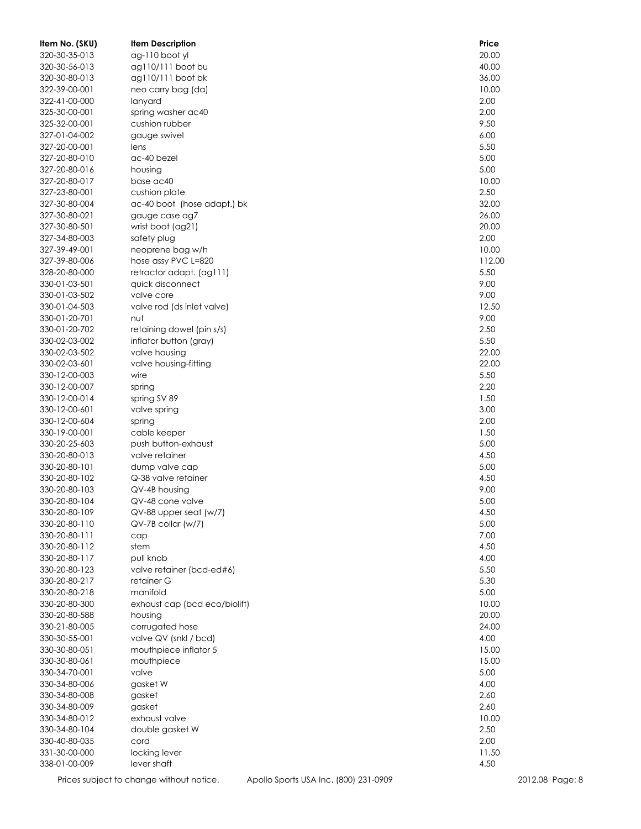| Item No. (SKU) | <b>Item Description</b>       | Price  |
|----------------|-------------------------------|--------|
| 320-30-35-013  | ag-110 boot yl                | 20.00  |
| 320-30-56-013  | ag110/111 boot bu             | 40.00  |
| 320-30-80-013  | ag110/111 boot bk             | 36.00  |
| 322-39-00-001  | neo carry bag (da)            | 10.00  |
| 322-41-00-000  | lanyard                       | 2.00   |
| 325-30-00-001  | spring washer ac40            | 2.00   |
| 325-32-00-001  | cushion rubber                | 9.50   |
| 327-01-04-002  | gauge swivel                  | 6.00   |
| 327-20-00-001  | lens                          | 5.50   |
| 327-20-80-010  | ac-40 bezel                   | 5.00   |
| 327-20-80-016  | housing                       | 5.00   |
| 327-20-80-017  | base ac40                     | 10.00  |
| 327-23-80-001  | cushion plate                 | 2.50   |
| 327-30-80-004  | ac-40 boot (hose adapt.) bk   | 32.00  |
| 327-30-80-021  | gauge case ag7                | 26.00  |
| 327-30-80-501  | wrist boot (ag21)             | 20.00  |
|                |                               | 2.00   |
| 327-34-80-003  | safety plug                   |        |
| 327-39-49-001  | neoprene bag w/h              | 10.00  |
| 327-39-80-006  | hose assy PVC L=820           | 112.00 |
| 328-20-80-000  | retractor adapt. (ag111)      | 5.50   |
| 330-01-03-501  | quick disconnect              | 9.00   |
| 330-01-03-502  | valve core                    | 9.00   |
| 330-01-04-503  | valve rod (ds inlet valve)    | 12.50  |
| 330-01-20-701  | nut                           | 9.00   |
| 330-01-20-702  | retaining dowel (pin s/s)     | 2.50   |
| 330-02-03-002  | inflator button (gray)        | 5.50   |
| 330-02-03-502  | valve housing                 | 22.00  |
| 330-02-03-601  | valve housing-fitting         | 22.00  |
| 330-12-00-003  | wire                          | 5.50   |
| 330-12-00-007  | spring                        | 2.20   |
| 330-12-00-014  | spring SV 89                  | 1.50   |
| 330-12-00-601  | valve spring                  | 3.00   |
| 330-12-00-604  | spring                        | 2.00   |
| 330-19-00-001  | cable keeper                  | 1.50   |
| 330-20-25-603  | push button-exhaust           | 5.00   |
| 330-20-80-013  | valve retainer                | 4.50   |
| 330-20-80-101  | dump valve cap                | 5.00   |
| 330-20-80-102  | Q-38 valve retainer           | 4.50   |
| 330-20-80-103  | QV-4B housing                 | 9.00   |
| 330-20-80-104  | QV-48 cone valve              | 5.00   |
| 330-20-80-109  | $QV-88$ upper seat $(w/7)$    | 4.50   |
| 330-20-80-110  | QV-7B collar (w/7)            | 5.00   |
| 330-20-80-111  | cap                           | 7.00   |
| 330-20-80-112  | stem                          | 4.50   |
| 330-20-80-117  | pull knob                     | 4.00   |
| 330-20-80-123  | valve retainer (bcd-ed#6)     | 5.50   |
| 330-20-80-217  | retainer G                    | 5.30   |
| 330-20-80-218  | manifold                      | 5.00   |
| 330-20-80-300  | exhaust cap (bcd eco/biolift) | 10.00  |
| 330-20-80-588  | housing                       | 20.00  |
| 330-21-80-005  | corrugated hose               | 24.00  |
| 330-30-55-001  | valve QV (snkl / bcd)         | 4.00   |
| 330-30-80-051  | mouthpiece inflator 5         | 15.00  |
| 330-30-80-061  | mouthpiece                    | 15.00  |
| 330-34-70-001  | valve                         | 5.00   |
| 330-34-80-006  | gasket W                      | 4.00   |
| 330-34-80-008  | gasket                        | 2.60   |
| 330-34-80-009  | gasket                        | 2.60   |
|                |                               |        |
| 330-34-80-012  | exhaust valve                 | 10.00  |
| 330-34-80-104  | double gasket W               | 2.50   |
| 330-40-80-035  | cord                          | 2.00   |
| 331-30-00-000  | locking lever                 | 11.50  |
| 338-01-00-009  | lever shaft                   | 4.50   |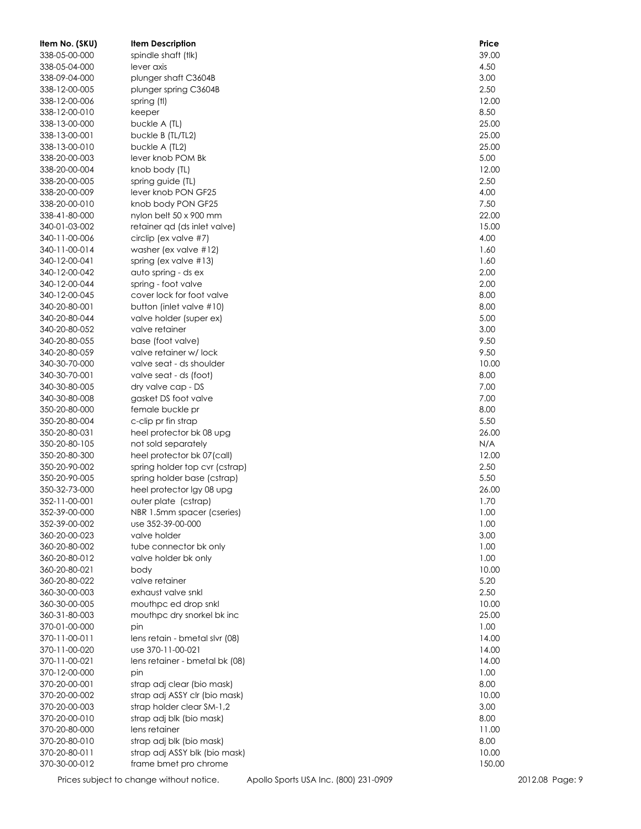| Item No. (SKU) | <b>Item Description</b>                  | Price  |
|----------------|------------------------------------------|--------|
| 338-05-00-000  | spindle shaft (tlk)                      | 39.00  |
| 338-05-04-000  | lever axis                               | 4.50   |
| 338-09-04-000  | plunger shaft C3604B                     | 3.00   |
| 338-12-00-005  | plunger spring C3604B                    | 2.50   |
| 338-12-00-006  | spring (tl)                              | 12.00  |
| 338-12-00-010  | keeper                                   | 8.50   |
| 338-13-00-000  | buckle A (TL)                            | 25.00  |
| 338-13-00-001  | buckle B (TL/TL2)                        | 25.00  |
| 338-13-00-010  | buckle A (TL2)                           | 25.00  |
| 338-20-00-003  | lever knob POM Bk                        | 5.00   |
| 338-20-00-004  | knob body (TL)                           | 12.00  |
| 338-20-00-005  |                                          | 2.50   |
|                | spring guide (TL)<br>lever knob PON GF25 | 4.00   |
| 338-20-00-009  |                                          |        |
| 338-20-00-010  | knob body PON GF25                       | 7.50   |
| 338-41-80-000  | nylon belt 50 x 900 mm                   | 22.00  |
| 340-01-03-002  | retainer qd (ds inlet valve)             | 15.00  |
| 340-11-00-006  | circlip (ex valve #7)                    | 4.00   |
| 340-11-00-014  | washer (ex valve #12)                    | 1.60   |
| 340-12-00-041  | spring (ex valve $#13$ )                 | 1.60   |
| 340-12-00-042  | auto spring - ds ex                      | 2.00   |
| 340-12-00-044  | spring - foot valve                      | 2.00   |
| 340-12-00-045  | cover lock for foot valve                | 8.00   |
| 340-20-80-001  | button (inlet valve #10)                 | 8.00   |
| 340-20-80-044  | valve holder (super ex)                  | 5.00   |
| 340-20-80-052  | valve retainer                           | 3.00   |
| 340-20-80-055  | base (foot valve)                        | 9.50   |
| 340-20-80-059  | valve retainer w/lock                    | 9.50   |
| 340-30-70-000  | valve seat - ds shoulder                 | 10.00  |
| 340-30-70-001  | valve seat - ds (foot)                   | 8.00   |
| 340-30-80-005  | dry valve cap - DS                       | 7.00   |
| 340-30-80-008  | gasket DS foot valve                     | 7.00   |
| 350-20-80-000  | female buckle pr                         | 8.00   |
| 350-20-80-004  | c-clip pr fin strap                      | 5.50   |
| 350-20-80-031  | heel protector bk 08 upg                 | 26.00  |
| 350-20-80-105  | not sold separately                      | N/A    |
| 350-20-80-300  | heel protector bk 07(call)               | 12.00  |
| 350-20-90-002  | spring holder top cvr (cstrap)           | 2.50   |
| 350-20-90-005  | spring holder base (cstrap)              | 5.50   |
| 350-32-73-000  | heel protector Igy 08 upg                | 26.00  |
| 352-11-00-001  | outer plate (cstrap)                     | 1.70   |
| 352-39-00-000  | NBR 1.5mm spacer (cseries)               | 1.00   |
| 352-39-00-002  | use 352-39-00-000                        | 1.00   |
| 360-20-00-023  | valve holder                             | 3.00   |
| 360-20-80-002  | tube connector bk only                   | 1.00   |
| 360-20-80-012  | valve holder bk only                     | 1.00   |
| 360-20-80-021  | body                                     | 10.00  |
| 360-20-80-022  | valve retainer                           | 5.20   |
| 360-30-00-003  | exhaust valve snkl                       | 2.50   |
| 360-30-00-005  | mouthpc ed drop snkl                     | 10.00  |
|                |                                          | 25.00  |
| 360-31-80-003  | mouthpc dry snorkel bk inc               |        |
| 370-01-00-000  | pin                                      | 1.00   |
| 370-11-00-011  | lens retain - bmetal slvr (08)           | 14.00  |
| 370-11-00-020  | use 370-11-00-021                        | 14.00  |
| 370-11-00-021  | lens retainer - bmetal bk (08)           | 14.00  |
| 370-12-00-000  | pin                                      | 1.00   |
| 370-20-00-001  | strap adj clear (bio mask)               | 8.00   |
| 370-20-00-002  | strap adj ASSY clr (bio mask)            | 10.00  |
| 370-20-00-003  | strap holder clear SM-1,2                | 3.00   |
| 370-20-00-010  | strap adj blk (bio mask)                 | 8.00   |
| 370-20-80-000  | lens retainer                            | 11.00  |
| 370-20-80-010  | strap adj blk (bio mask)                 | 8.00   |
| 370-20-80-011  | strap adj ASSY blk (bio mask)            | 10.00  |
| 370-30-00-012  | frame bmet pro chrome                    | 150.00 |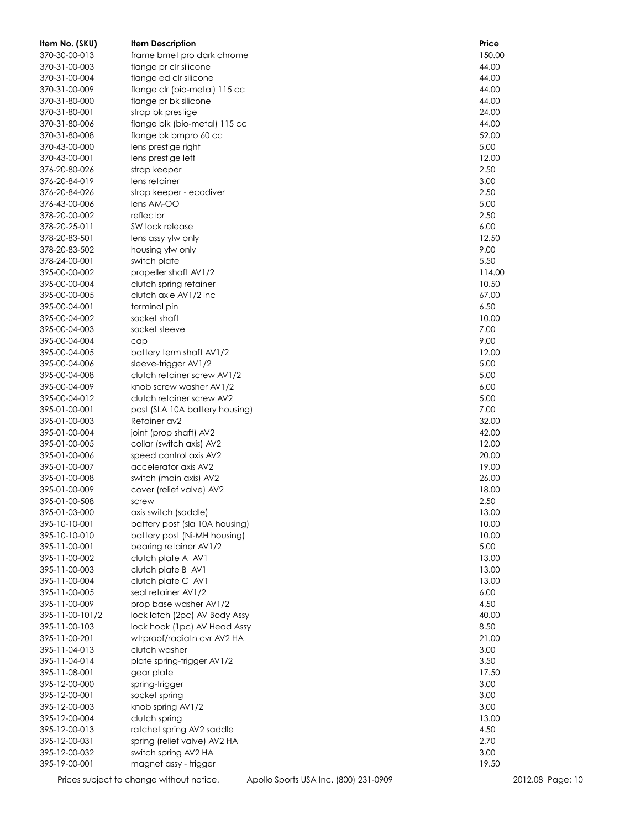| Item No. (SKU)                 | <b>Item Description</b>                            | Price          |
|--------------------------------|----------------------------------------------------|----------------|
| 370-30-00-013                  | frame bmet pro dark chrome                         | 150.00         |
| 370-31-00-003                  | flange pr clr silicone                             | 44.00          |
| 370-31-00-004                  | flange ed clr silicone                             | 44.00          |
| 370-31-00-009                  | flange clr (bio-metal) 115 cc                      | 44.00          |
| 370-31-80-000                  | flange pr bk silicone                              | 44.00          |
| 370-31-80-001                  | strap bk prestige                                  | 24.00          |
| 370-31-80-006                  | flange blk (bio-metal) 115 cc                      | 44.00          |
| 370-31-80-008                  | flange bk bmpro 60 cc                              | 52.00          |
| 370-43-00-000                  | lens prestige right                                | 5.00           |
| 370-43-00-001                  | lens prestige left                                 | 12.00          |
| 376-20-80-026                  | strap keeper                                       | 2.50           |
| 376-20-84-019                  | lens retainer                                      | 3.00           |
| 376-20-84-026                  | strap keeper - ecodiver                            | 2.50           |
| 376-43-00-006                  | lens AM-OO                                         | 5.00           |
| 378-20-00-002                  | reflector                                          | 2.50           |
| 378-20-25-011                  | SW lock release                                    | 6.00           |
| 378-20-83-501                  | lens assy ylw only                                 | 12.50          |
| 378-20-83-502                  | housing ylw only                                   | 9.00           |
| 378-24-00-001                  | switch plate                                       | 5.50           |
| 395-00-00-002                  | propeller shaft AV1/2                              | 114.00         |
| 395-00-00-004                  | clutch spring retainer                             | 10.50          |
| 395-00-00-005                  | clutch axle AV1/2 inc                              | 67.00          |
| 395-00-04-001                  | terminal pin                                       | 6.50           |
| 395-00-04-002                  | socket shaft                                       | 10.00          |
| 395-00-04-003                  | socket sleeve                                      | 7.00           |
| 395-00-04-004                  | cap                                                | 9.00           |
| 395-00-04-005                  | battery term shaft AV1/2                           | 12.00          |
| 395-00-04-006                  | sleeve-trigger AV1/2                               | 5.00           |
| 395-00-04-008                  | clutch retainer screw AV1/2                        | 5.00           |
| 395-00-04-009                  | knob screw washer AV1/2                            | 6.00           |
| 395-00-04-012                  | clutch retainer screw AV2                          | 5.00           |
| 395-01-00-001                  | post (SLA 10A battery housing)                     | 7.00           |
| 395-01-00-003                  | Retainer av2                                       | 32.00          |
| 395-01-00-004<br>395-01-00-005 | joint (prop shaft) AV2                             | 42.00<br>12.00 |
| 395-01-00-006                  | collar (switch axis) AV2<br>speed control axis AV2 | 20.00          |
| 395-01-00-007                  | accelerator axis AV2                               | 19.00          |
| 395-01-00-008                  | switch (main axis) AV2                             | 26.00          |
| 395-01-00-009                  | cover (relief valve) AV2                           | 18.00          |
| 395-01-00-508                  | screw                                              | 2.50           |
| 395-01-03-000                  | axis switch (saddle)                               | 13.00          |
| 395-10-10-001                  | battery post (sla 10A housing)                     | 10.00          |
| 395-10-10-010                  | battery post (Ni-MH housing)                       | 10.00          |
| 395-11-00-001                  | bearing retainer AV1/2                             | 5.00           |
| 395-11-00-002                  | clutch plate A AV1                                 | 13.00          |
| 395-11-00-003                  | clutch plate B AV1                                 | 13.00          |
| 395-11-00-004                  | clutch plate C AV1                                 | 13.00          |
| 395-11-00-005                  | seal retainer AV1/2                                | 6.00           |
| 395-11-00-009                  | prop base washer AV1/2                             | 4.50           |
| 395-11-00-101/2                | lock latch (2pc) AV Body Assy                      | 40.00          |
| 395-11-00-103                  | lock hook (1pc) AV Head Assy                       | 8.50           |
| 395-11-00-201                  | wtrproof/radiatn cvr AV2 HA                        | 21.00          |
| 395-11-04-013                  | clutch washer                                      | 3.00           |
| 395-11-04-014                  | plate spring-trigger AV1/2                         | 3.50           |
| 395-11-08-001                  | gear plate                                         | 17.50          |
| 395-12-00-000                  | spring-trigger                                     | 3.00           |
| 395-12-00-001                  | socket spring                                      | 3.00           |
| 395-12-00-003                  | knob spring AV1/2                                  | 3.00           |
| 395-12-00-004                  | clutch spring                                      | 13.00          |
| 395-12-00-013                  | ratchet spring AV2 saddle                          | 4.50           |
| 395-12-00-031                  | spring (relief valve) AV2 HA                       | 2.70           |
| 395-12-00-032                  | switch spring AV2 HA                               | 3.00           |
| 395-19-00-001                  | magnet assy - trigger                              | 19.50          |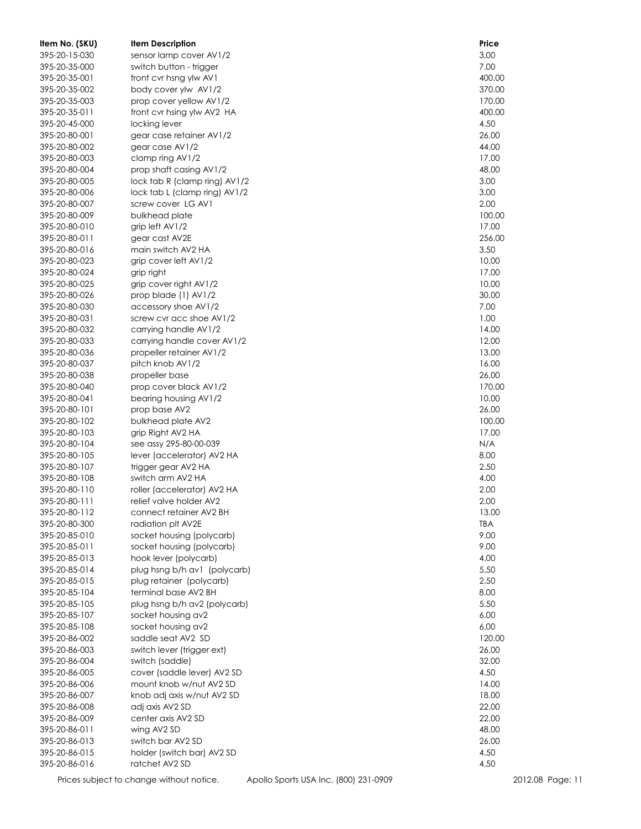| Item No. (SKU) | <b>Item Description</b>       | Price  |
|----------------|-------------------------------|--------|
| 395-20-15-030  | sensor lamp cover AV1/2       | 3.00   |
| 395-20-35-000  | switch button - trigger       | 7.00   |
| 395-20-35-001  | front cvr hsng ylw AV1        | 400.00 |
| 395-20-35-002  | body cover ylw AV1/2          | 370.00 |
| 395-20-35-003  | prop cover yellow AV1/2       | 170.00 |
| 395-20-35-011  | front cvr hsing ylw AV2 HA    | 400.00 |
| 395-20-45-000  | locking lever                 | 4.50   |
| 395-20-80-001  | gear case retainer AV1/2      | 26.00  |
| 395-20-80-002  | gear case AV1/2               | 44.00  |
| 395-20-80-003  | clamp ring AV1/2              | 17.00  |
| 395-20-80-004  | prop shaft casing AV1/2       | 48.00  |
| 395-20-80-005  | lock tab R (clamp ring) AV1/2 | 3.00   |
| 395-20-80-006  | lock tab L (clamp ring) AV1/2 | 3.00   |
| 395-20-80-007  | screw cover LG AV1            | 2.00   |
| 395-20-80-009  | bulkhead plate                | 100.00 |
| 395-20-80-010  | grip left AV1/2               | 17.00  |
| 395-20-80-011  | gear cast AV2E                | 256.00 |
| 395-20-80-016  | main switch AV2 HA            | 3.50   |
| 395-20-80-023  | grip cover left AV1/2         | 10.00  |
| 395-20-80-024  | grip right                    | 17.00  |
| 395-20-80-025  | grip cover right AV1/2        | 10.00  |
| 395-20-80-026  | prop blade (1) AV1/2          | 30.00  |
| 395-20-80-030  | accessory shoe AV1/2          | 7.00   |
| 395-20-80-031  | screw cvr acc shoe AV1/2      | 1.00   |
| 395-20-80-032  | carrying handle AV1/2         | 14.00  |
| 395-20-80-033  | carrying handle cover AV1/2   | 12.00  |
| 395-20-80-036  | propeller retainer AV1/2      | 13.00  |
| 395-20-80-037  | pitch knob AV1/2              | 16.00  |
| 395-20-80-038  | propeller base                | 26.00  |
| 395-20-80-040  | prop cover black AV1/2        | 170.00 |
| 395-20-80-041  | bearing housing AV1/2         | 10.00  |
| 395-20-80-101  | prop base AV2                 | 26.00  |
| 395-20-80-102  | bulkhead plate AV2            | 100.00 |
| 395-20-80-103  | grip Right AV2 HA             | 17.00  |
| 395-20-80-104  | see assy 295-80-00-039        | N/A    |
| 395-20-80-105  | lever (accelerator) AV2 HA    | 8.00   |
| 395-20-80-107  | trigger gear AV2 HA           | 2.50   |
| 395-20-80-108  | switch arm AV2 HA             | 4.00   |
| 395-20-80-110  | roller (accelerator) AV2 HA   | 2.00   |
| 395-20-80-111  | relief valve holder AV2       | 2.00   |
| 395-20-80-112  | connect retainer AV2 BH       | 13.00  |
| 395-20-80-300  | radiation plt AV2E            | TBA    |
| 395-20-85-010  | socket housing (polycarb)     | 9.00   |
| 395-20-85-011  | socket housing (polycarb)     | 9.00   |
| 395-20-85-013  | hook lever (polycarb)         | 4.00   |
| 395-20-85-014  | plug hsng b/h av1 (polycarb)  | 5.50   |
| 395-20-85-015  | plug retainer (polycarb)      | 2.50   |
| 395-20-85-104  | terminal base AV2 BH          | 8.00   |
| 395-20-85-105  | plug hsng b/h av2 (polycarb)  | 5.50   |
| 395-20-85-107  | socket housing av2            | 6.00   |
| 395-20-85-108  | socket housing av2            | 6.00   |
| 395-20-86-002  | saddle seat AV2 SD            | 120.00 |
| 395-20-86-003  | switch lever (trigger ext)    | 26.00  |
| 395-20-86-004  | switch (saddle)               | 32.00  |
| 395-20-86-005  | cover (saddle lever) AV2 SD   | 4.50   |
| 395-20-86-006  | mount knob w/nut AV2 SD       | 14.00  |
| 395-20-86-007  | knob adj axis w/nut AV2 SD    | 18.00  |
| 395-20-86-008  | adj axis AV2 SD               | 22.00  |
| 395-20-86-009  | center axis AV2 SD            | 22.00  |
| 395-20-86-011  | wing AV2 SD                   | 48.00  |
| 395-20-86-013  | switch bar AV2 SD             | 26.00  |
| 395-20-86-015  | holder (switch bar) AV2 SD    | 4.50   |
| 395-20-86-016  | ratchet AV2 SD                | 4.50   |

Prices subject to change without notice. Apollo Sports USA Inc. (800) 231-0909 2012.08 Page: 11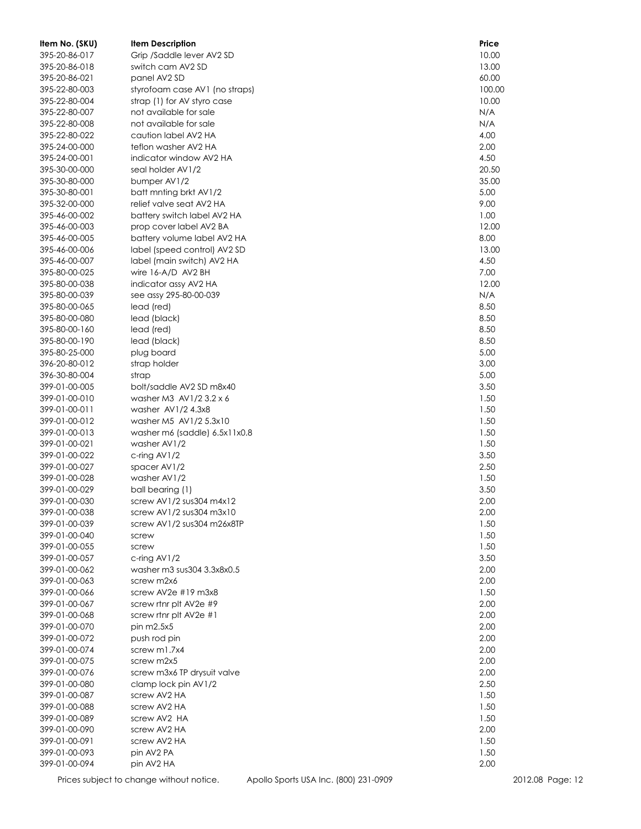| Item No. (SKU) | <b>Item Description</b>        | Price  |
|----------------|--------------------------------|--------|
| 395-20-86-017  | Grip /Saddle lever AV2 SD      | 10.00  |
| 395-20-86-018  | switch cam AV2 SD              | 13.00  |
| 395-20-86-021  | panel AV2 SD                   | 60.00  |
| 395-22-80-003  | styrofoam case AV1 (no straps) | 100.00 |
| 395-22-80-004  | strap (1) for AV styro case    | 10.00  |
| 395-22-80-007  | not available for sale         | N/A    |
| 395-22-80-008  | not available for sale         | N/A    |
| 395-22-80-022  | caution label AV2 HA           | 4.00   |
| 395-24-00-000  | teflon washer AV2 HA           | 2.00   |
| 395-24-00-001  | indicator window AV2 HA        | 4.50   |
| 395-30-00-000  | seal holder AV1/2              | 20.50  |
| 395-30-80-000  | bumper AV1/2                   | 35.00  |
| 395-30-80-001  | batt mnting brkt AV1/2         | 5.00   |
| 395-32-00-000  | relief valve seat AV2 HA       | 9.00   |
| 395-46-00-002  | battery switch label AV2 HA    | 1.00   |
| 395-46-00-003  | prop cover label AV2 BA        | 12.00  |
| 395-46-00-005  | battery volume label AV2 HA    | 8.00   |
| 395-46-00-006  | label (speed control) AV2 SD   | 13.00  |
| 395-46-00-007  | label (main switch) AV2 HA     | 4.50   |
| 395-80-00-025  | wire $16-A/D$ AV2 BH           | 7.00   |
| 395-80-00-038  | indicator assy AV2 HA          | 12.00  |
| 395-80-00-039  | see assy 295-80-00-039         | N/A    |
| 395-80-00-065  | lead (red)                     | 8.50   |
| 395-80-00-080  | lead (black)                   | 8.50   |
| 395-80-00-160  | lead (red)                     | 8.50   |
| 395-80-00-190  | lead (black)                   | 8.50   |
| 395-80-25-000  | plug board                     | 5.00   |
| 396-20-80-012  | strap holder                   | 3.00   |
| 396-30-80-004  | strap                          | 5.00   |
| 399-01-00-005  | bolt/saddle AV2 SD m8x40       | 3.50   |
| 399-01-00-010  | washer M3 $AV1/23.2 \times 6$  | 1.50   |
| 399-01-00-011  | washer AV1/2 4.3x8             | 1.50   |
| 399-01-00-012  | washer M5 AV1/2 5.3x10         | 1.50   |
| 399-01-00-013  | washer m6 (saddle) 6.5x11x0.8  | 1.50   |
| 399-01-00-021  | washer AV1/2                   | 1.50   |
| 399-01-00-022  | c-ring $AV1/2$                 | 3.50   |
| 399-01-00-027  | spacer AV1/2                   | 2.50   |
| 399-01-00-028  | washer AV1/2                   | 1.50   |
| 399-01-00-029  | ball bearing (1)               | 3.50   |
| 399-01-00-030  | screw $AV1/2$ sus $304$ m4x12  | 2.00   |
| 399-01-00-038  | screw AV1/2 sus304 m3x10       | 2.00   |
| 399-01-00-039  | screw AV1/2 sus304 m26x8TP     | 1.50   |
| 399-01-00-040  | screw                          | 1.50   |
| 399-01-00-055  | screw                          | 1.50   |
| 399-01-00-057  | c-ring AV1/2                   | 3.50   |
| 399-01-00-062  | washer m3 sus304 3.3x8x0.5     | 2.00   |
| 399-01-00-063  | screw m2x6                     | 2.00   |
| 399-01-00-066  | screw AV2e $#19$ m $3x8$       | 1.50   |
| 399-01-00-067  | screw rtnr plt AV2e #9         | 2.00   |
| 399-01-00-068  | screw rtnr plt AV2e #1         | 2.00   |
| 399-01-00-070  | pin m2.5x5                     | 2.00   |
| 399-01-00-072  | push rod pin                   | 2.00   |
| 399-01-00-074  | screw m1.7x4                   | 2.00   |
| 399-01-00-075  | screw m2x5                     | 2.00   |
| 399-01-00-076  | screw m3x6 TP drysuit valve    | 2.00   |
| 399-01-00-080  | clamp lock pin AV1/2           | 2.50   |
| 399-01-00-087  | screw AV2 HA                   | 1.50   |
| 399-01-00-088  | screw AV2 HA                   | 1.50   |
| 399-01-00-089  | screw AV2 HA                   | 1.50   |
| 399-01-00-090  | screw AV2 HA                   | 2.00   |
| 399-01-00-091  | screw AV2 HA                   | 1.50   |
| 399-01-00-093  | pin AV2 PA                     | 1.50   |
| 399-01-00-094  | pin AV2 HA                     | 2.00   |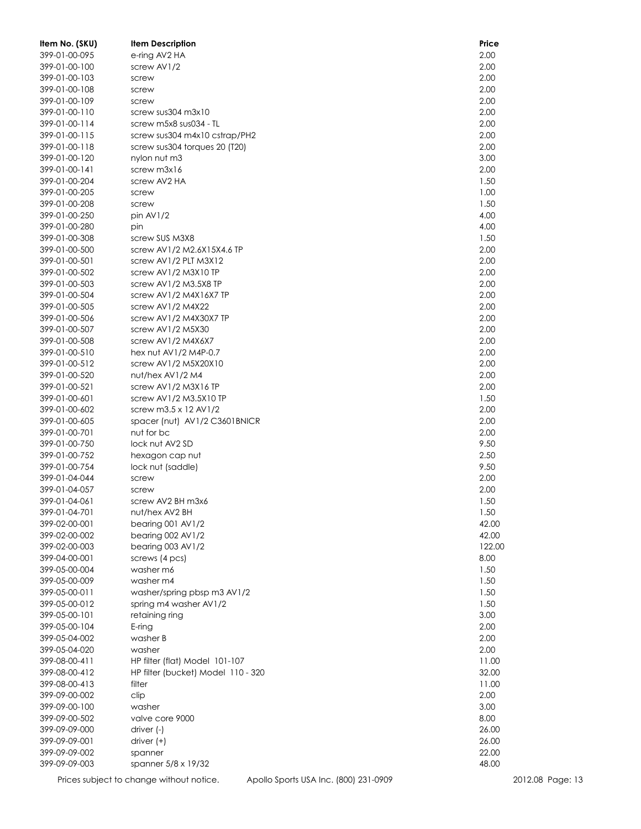| Item No. (SKU)                 | <b>Item Description</b>                      | Price          |
|--------------------------------|----------------------------------------------|----------------|
| 399-01-00-095                  | e-ring AV2 HA                                | 2.00           |
| 399-01-00-100                  | screw AV1/2                                  | 2.00           |
| 399-01-00-103                  | screw                                        | 2.00           |
| 399-01-00-108                  | screw                                        | 2.00           |
| 399-01-00-109                  | screw                                        | 2.00           |
| 399-01-00-110                  | screw sus304 m3x10                           | 2.00           |
| 399-01-00-114                  | screw m5x8 sus034 - TL                       | 2.00           |
| 399-01-00-115                  | screw sus304 m4x10 cstrap/PH2                | 2.00           |
| 399-01-00-118                  | screw sus304 torques 20 (T20)                | 2.00           |
| 399-01-00-120                  | nylon nut m3                                 | 3.00           |
| 399-01-00-141                  | screw m3x16                                  | 2.00           |
| 399-01-00-204                  | screw AV2 HA                                 | 1.50           |
| 399-01-00-205                  | screw                                        | 1.00           |
| 399-01-00-208                  | screw                                        | 1.50           |
| 399-01-00-250                  | pin $AV1/2$                                  | 4.00           |
| 399-01-00-280                  | pin                                          | 4.00           |
| 399-01-00-308                  | screw SUS M3X8                               | 1.50           |
| 399-01-00-500                  | screw AV1/2 M2.6X15X4.6 TP                   | 2.00           |
| 399-01-00-501                  | screw AV1/2 PLT M3X12                        | 2.00           |
| 399-01-00-502                  | screw AV1/2 M3X10 TP                         | 2.00           |
| 399-01-00-503                  | screw AV1/2 M3.5X8 TP                        | 2.00           |
| 399-01-00-504                  | screw AV1/2 M4X16X7 TP                       | 2.00           |
| 399-01-00-505                  | screw AV1/2 M4X22                            | 2.00           |
| 399-01-00-506                  | screw AV1/2 M4X30X7 TP                       | 2.00           |
| 399-01-00-507                  | screw AV1/2 M5X30                            | 2.00           |
| 399-01-00-508                  | screw AV1/2 M4X6X7                           | 2.00           |
| 399-01-00-510                  | hex nut AV1/2 M4P-0.7                        | 2.00           |
| 399-01-00-512                  | screw AV1/2 M5X20X10                         | 2.00           |
| 399-01-00-520                  | nut/hex AV1/2 M4                             | 2.00           |
| 399-01-00-521                  | screw AV1/2 M3X16 TP                         | 2.00           |
| 399-01-00-601                  | screw AV1/2 M3.5X10 TP                       | 1.50           |
| 399-01-00-602                  | screw m3.5 x 12 AV1/2                        | 2.00           |
| 399-01-00-605                  | spacer (nut) AV1/2 C3601BNICR                | 2.00           |
| 399-01-00-701                  | nut for bc                                   | 2.00           |
| 399-01-00-750                  | lock nut AV2 SD                              | 9.50           |
| 399-01-00-752                  | hexagon cap nut                              | 2.50           |
| 399-01-00-754                  | lock nut (saddle)                            | 9.50           |
| 399-01-04-044                  | screw                                        | 2.00           |
| 399-01-04-057                  | screw                                        | 2.00           |
| 399-01-04-061                  | screw AV2 BH m3x6                            | 1.50           |
| 399-01-04-701                  | nut/hex AV2 BH                               | 1.50           |
| 399-02-00-001                  | bearing 001 AV1/2                            | 42.00          |
| 399-02-00-002                  | bearing 002 AV1/2                            | 42.00          |
| 399-02-00-003                  | bearing 003 AV1/2                            | 122.00         |
| 399-04-00-001                  | screws (4 pcs)                               | 8.00           |
| 399-05-00-004                  | washer m6                                    | 1.50           |
| 399-05-00-009                  | washer m4                                    | 1.50           |
| 399-05-00-011                  | washer/spring pbsp m3 AV1/2                  | 1.50           |
| 399-05-00-012                  | spring m4 washer AV1/2                       | 1.50           |
| 399-05-00-101                  | retaining ring                               | 3.00           |
| 399-05-00-104                  | $E$ -ring                                    | 2.00           |
| 399-05-04-002                  | washer B                                     | 2.00           |
| 399-05-04-020                  | washer                                       | 2.00           |
| 399-08-00-411                  | HP filter (flat) Model 101-107               | 11.00          |
| 399-08-00-412                  | HP filter (bucket) Model 110 - 320<br>filter | 32.00          |
| 399-08-00-413                  |                                              | 11.00          |
| 399-09-00-002                  | clip                                         | 2.00           |
| 399-09-00-100                  | washer                                       | 3.00           |
| 399-09-00-502                  | valve core 9000                              | 8.00           |
| 399-09-09-000                  | driver (-)                                   | 26.00          |
| 399-09-09-001<br>399-09-09-002 | driver $(+)$                                 | 26.00<br>22.00 |
| 399-09-09-003                  | spanner                                      | 48.00          |
|                                | spanner 5/8 x 19/32                          |                |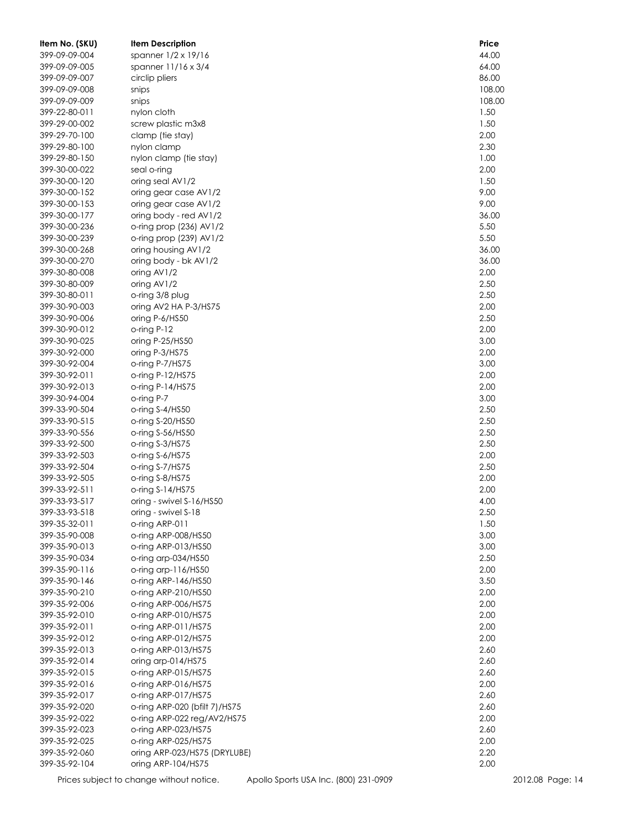| Item No. (SKU) | <b>Item Description</b>       | Price  |
|----------------|-------------------------------|--------|
| 399-09-09-004  | spanner 1/2 x 19/16           | 44.00  |
| 399-09-09-005  | spanner 11/16 x 3/4           | 64.00  |
| 399-09-09-007  | circlip pliers                | 86.00  |
| 399-09-09-008  | snips                         | 108.00 |
| 399-09-09-009  | snips                         | 108.00 |
| 399-22-80-011  | nylon cloth                   | 1.50   |
| 399-29-00-002  | screw plastic m3x8            | 1.50   |
| 399-29-70-100  | clamp (tie stay)              | 2.00   |
| 399-29-80-100  | nylon clamp                   | 2.30   |
| 399-29-80-150  | nylon clamp (tie stay)        | 1.00   |
| 399-30-00-022  | seal o-ring                   | 2.00   |
| 399-30-00-120  | oring seal AV1/2              | 1.50   |
| 399-30-00-152  | oring gear case AV1/2         | 9.00   |
| 399-30-00-153  | oring gear case AV1/2         | 9.00   |
| 399-30-00-177  | oring body - red AV1/2        | 36.00  |
| 399-30-00-236  | o-ring prop (236) AV1/2       | 5.50   |
| 399-30-00-239  | o-ring prop (239) AV1/2       | 5.50   |
| 399-30-00-268  | oring housing AV1/2           | 36.00  |
| 399-30-00-270  | oring body - bk AV1/2         | 36.00  |
| 399-30-80-008  | oring AV1/2                   | 2.00   |
| 399-30-80-009  | oring AV1/2                   | 2.50   |
| 399-30-80-011  | o-ring 3/8 plug               | 2.50   |
| 399-30-90-003  | oring AV2 HA P-3/HS75         | 2.00   |
| 399-30-90-006  | oring P-6/HS50                | 2.50   |
| 399-30-90-012  | o-ring P-12                   | 2.00   |
| 399-30-90-025  | oring P-25/HS50               | 3.00   |
| 399-30-92-000  | oring P-3/HS75                | 2.00   |
| 399-30-92-004  | o-ring P-7/HS75               | 3.00   |
| 399-30-92-011  | o-ring $P-12/HST5$            | 2.00   |
| 399-30-92-013  | o-ring P-14/HS75              | 2.00   |
| 399-30-94-004  | o-ring P-7                    | 3.00   |
| 399-33-90-504  | o-ring S-4/HS50               | 2.50   |
| 399-33-90-515  | o-ring S-20/HS50              | 2.50   |
| 399-33-90-556  | o-ring S-56/HS50              | 2.50   |
| 399-33-92-500  | o-ring S-3/HS75               | 2.50   |
| 399-33-92-503  | o-ring S-6/HS75               | 2.00   |
| 399-33-92-504  | o-ring S-7/HS75               | 2.50   |
| 399-33-92-505  | o-ring S-8/HS75               | 2.00   |
| 399-33-92-511  | o-ring S-14/HS75              | 2.00   |
| 399-33-93-517  | oring - swivel S-16/HS50      | 4.00   |
| 399-33-93-518  | oring - swivel S-18           | 2.50   |
| 399-35-32-011  | o-ring ARP-011                | 1.50   |
| 399-35-90-008  | o-ring ARP-008/HS50           | 3.00   |
| 399-35-90-013  | o-ring ARP-013/HS50           | 3.00   |
| 399-35-90-034  | o-ring arp-034/HS50           | 2.50   |
| 399-35-90-116  | o-ring arp-116/HS50           | 2.00   |
| 399-35-90-146  | o-ring ARP-146/HS50           | 3.50   |
| 399-35-90-210  | o-ring ARP-210/HS50           | 2.00   |
| 399-35-92-006  | o-ring ARP-006/HS75           | 2.00   |
| 399-35-92-010  | o-ring ARP-010/HS75           | 2.00   |
| 399-35-92-011  | o-ring ARP-011/HS75           | 2.00   |
| 399-35-92-012  | o-ring ARP-012/HS75           | 2.00   |
| 399-35-92-013  | o-ring ARP-013/HS75           | 2.60   |
| 399-35-92-014  | oring arp-014/HS75            | 2.60   |
| 399-35-92-015  | o-ring $ARP-015/HS75$         | 2.60   |
| 399-35-92-016  | o-ring $ARP-016/HS75$         | 2.00   |
| 399-35-92-017  | o-ring ARP-017/HS75           | 2.60   |
| 399-35-92-020  | o-ring ARP-020 (bfilt 7)/HS75 | 2.60   |
| 399-35-92-022  | o-ring ARP-022 reg/AV2/HS75   | 2.00   |
| 399-35-92-023  | o-ring ARP-023/HS75           | 2.60   |
| 399-35-92-025  | o-ring ARP-025/HS75           | 2.00   |
| 399-35-92-060  | oring ARP-023/HS75 (DRYLUBE)  | 2.20   |
| 399-35-92-104  | oring ARP-104/HS75            | 2.00   |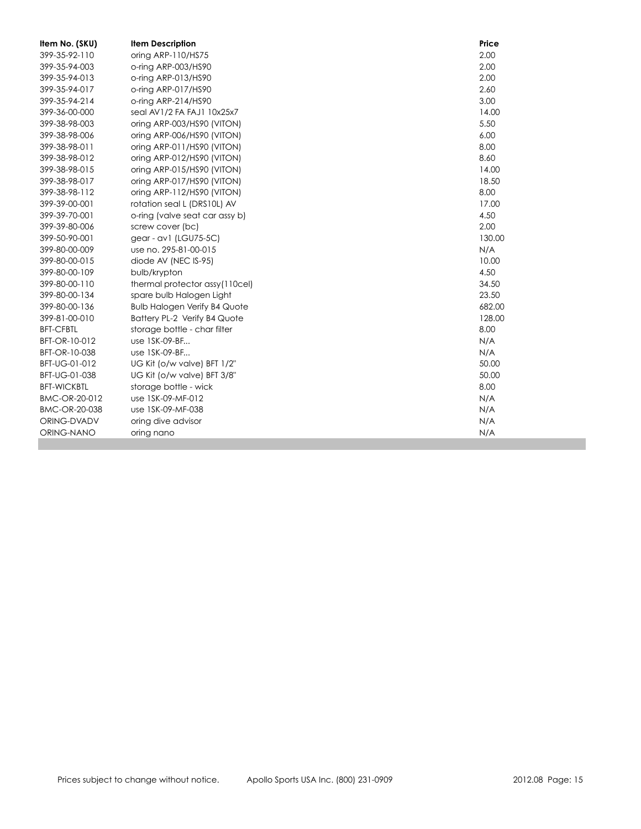| Item No. (SKU)     | <b>Item Description</b>             | Price  |
|--------------------|-------------------------------------|--------|
| 399-35-92-110      | oring ARP-110/HS75                  | 2.00   |
| 399-35-94-003      | o-ring ARP-003/HS90                 | 2.00   |
| 399-35-94-013      | o-ring ARP-013/HS90                 | 2.00   |
| 399-35-94-017      | o-ring ARP-017/HS90                 | 2.60   |
| 399-35-94-214      | o-ring ARP-214/HS90                 | 3.00   |
| 399-36-00-000      | seal AV1/2 FA FAJ1 10x25x7          | 14.00  |
| 399-38-98-003      | oring ARP-003/HS90 (VITON)          | 5.50   |
| 399-38-98-006      | oring ARP-006/HS90 (VITON)          | 6.00   |
| 399-38-98-011      | oring ARP-011/HS90 (VITON)          | 8.00   |
| 399-38-98-012      | oring ARP-012/HS90 (VITON)          | 8.60   |
| 399-38-98-015      | oring ARP-015/HS90 (VITON)          | 14.00  |
| 399-38-98-017      | oring ARP-017/HS90 (VITON)          | 18.50  |
| 399-38-98-112      | oring ARP-112/HS90 (VITON)          | 8.00   |
| 399-39-00-001      | rotation seal L (DRS10L) AV         | 17.00  |
| 399-39-70-001      | o-ring (valve seat car assy b)      | 4.50   |
| 399-39-80-006      | screw cover (bc)                    | 2.00   |
| 399-50-90-001      | gear - av1 (LGU75-5C)               | 130.00 |
| 399-80-00-009      | use no. 295-81-00-015               | N/A    |
| 399-80-00-015      | diode AV (NEC IS-95)                | 10.00  |
| 399-80-00-109      | bulb/krypton                        | 4.50   |
| 399-80-00-110      | thermal protector assy(110cel)      | 34.50  |
| 399-80-00-134      | spare bulb Halogen Light            | 23.50  |
| 399-80-00-136      | <b>Bulb Halogen Verify B4 Quote</b> | 682.00 |
| 399-81-00-010      | Battery PL-2 Verify B4 Quote        | 128.00 |
| <b>BFT-CFBTL</b>   | storage bottle - char filter        | 8.00   |
| BFT-OR-10-012      | use 1SK-09-BF                       | N/A    |
| BFT-OR-10-038      | use 1SK-09-BF                       | N/A    |
| BFT-UG-01-012      | UG Kit (o/w valve) BFT 1/2"         | 50.00  |
| BFT-UG-01-038      | UG Kit (o/w valve) BFT 3/8"         | 50.00  |
| <b>BFT-WICKBTL</b> | storage bottle - wick               | 8.00   |
| BMC-OR-20-012      | use 1SK-09-MF-012                   | N/A    |
| BMC-OR-20-038      | use 1SK-09-MF-038                   | N/A    |
| ORING-DVADV        | oring dive advisor                  | N/A    |
| ORING-NANO         | oring nano                          | N/A    |
|                    |                                     |        |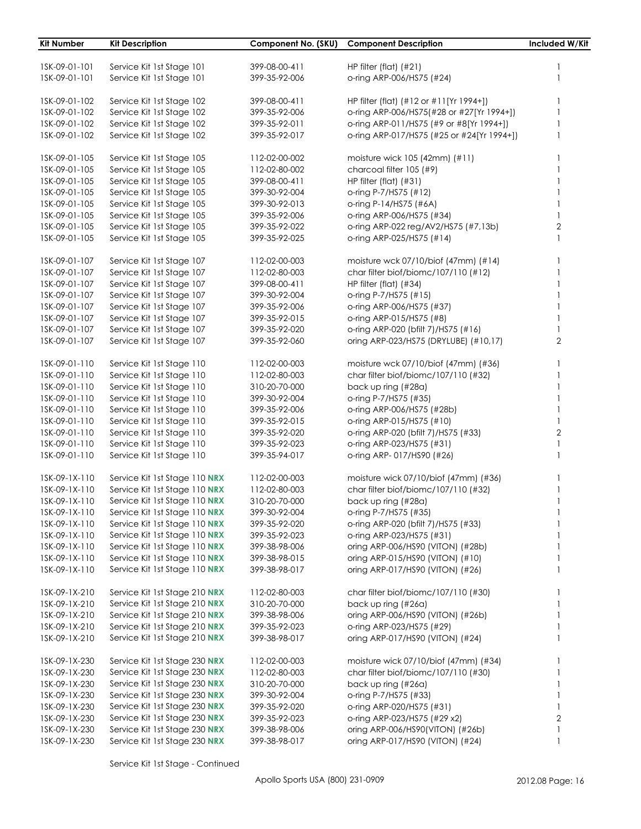| Kit Number    | <b>Kit Description</b>        |               | Component No. (SKU) Component Description  | Included W/Kit |
|---------------|-------------------------------|---------------|--------------------------------------------|----------------|
|               |                               |               |                                            |                |
| ISK-09-01-101 | Service Kit 1st Stage 101     | 399-08-00-411 | HP filter (flat) $(#21)$                   | 1              |
| ISK-09-01-101 | Service Kit 1st Stage 101     | 399-35-92-006 | o-ring ARP-006/HS75 (#24)                  |                |
| 1SK-09-01-102 | Service Kit 1st Stage 102     | 399-08-00-411 | HP filter (flat) (#12 or #11[Yr 1994+])    |                |
| 1SK-09-01-102 | Service Kit 1st Stage 102     | 399-35-92-006 | o-ring ARP-006/HS75(#28 or #27[Yr 1994+])  |                |
| 1SK-09-01-102 | Service Kit 1st Stage 102     | 399-35-92-011 | o-ring ARP-011/HS75 (#9 or #8[Yr 1994+])   |                |
| 1SK-09-01-102 | Service Kit 1st Stage 102     | 399-35-92-017 | o-ring ARP-017/HS75 (#25 or #24[Yr 1994+]) |                |
| ISK-09-01-105 | Service Kit 1st Stage 105     | 112-02-00-002 | moisture wick 105 (42mm) (#11)             |                |
| 1SK-09-01-105 | Service Kit 1st Stage 105     | 112-02-80-002 | charcoal filter 105 (#9)                   |                |
| 1SK-09-01-105 | Service Kit 1st Stage 105     | 399-08-00-411 | HP filter (flat) (#31)                     |                |
| 1SK-09-01-105 | Service Kit 1st Stage 105     | 399-30-92-004 | o-ring P-7/HS75 (#12)                      |                |
| 1SK-09-01-105 | Service Kit 1st Stage 105     | 399-30-92-013 | o-ring P-14/HS75 (#6A)                     |                |
| 1SK-09-01-105 | Service Kit 1st Stage 105     | 399-35-92-006 | o-ring ARP-006/HS75 (#34)                  |                |
| 1SK-09-01-105 | Service Kit 1st Stage 105     | 399-35-92-022 | o-ring ARP-022 reg/AV2/HS75 (#7,13b)       | $\overline{2}$ |
| 1SK-09-01-105 | Service Kit 1st Stage 105     | 399-35-92-025 | o-ring ARP-025/HS75 (#14)                  |                |
| 1SK-09-01-107 | Service Kit 1st Stage 107     | 112-02-00-003 | moisture wck 07/10/biof (47mm) (#14)       |                |
| ISK-09-01-107 | Service Kit 1st Stage 107     | 112-02-80-003 | char filter biof/biomc/107/110 (#12)       |                |
| 1SK-09-01-107 | Service Kit 1st Stage 107     | 399-08-00-411 | HP filter (flat) (#34)                     |                |
| 1SK-09-01-107 | Service Kit 1st Stage 107     | 399-30-92-004 | o-ring P-7/HS75 (#15)                      |                |
| 1SK-09-01-107 | Service Kit 1st Stage 107     | 399-35-92-006 | o-ring ARP-006/HS75 (#37)                  |                |
| ISK-09-01-107 | Service Kit 1st Stage 107     | 399-35-92-015 | o-ring ARP-015/HS75 (#8)                   |                |
| 1SK-09-01-107 | Service Kit 1st Stage 107     | 399-35-92-020 | o-ring ARP-020 (bfilt 7)/HS75 (#16)        |                |
| 1SK-09-01-107 | Service Kit 1st Stage 107     | 399-35-92-060 | oring ARP-023/HS75 (DRYLUBE) (#10,17)      | $\overline{2}$ |
| 1SK-09-01-110 | Service Kit 1st Stage 110     | 112-02-00-003 | moisture wck 07/10/biof (47mm) (#36)       |                |
| 1SK-09-01-110 | Service Kit 1st Stage 110     | 112-02-80-003 | char filter biof/biomc/107/110 (#32)       |                |
| 1SK-09-01-110 | Service Kit 1st Stage 110     | 310-20-70-000 | back up ring (#28a)                        |                |
| 1SK-09-01-110 | Service Kit 1st Stage 110     | 399-30-92-004 | o-ring P-7/HS75 (#35)                      |                |
| 1SK-09-01-110 | Service Kit 1st Stage 110     | 399-35-92-006 | o-ring ARP-006/HS75 (#28b)                 |                |
| 1SK-09-01-110 | Service Kit 1st Stage 110     | 399-35-92-015 | o-ring ARP-015/HS75 (#10)                  |                |
| 1SK-09-01-110 | Service Kit 1st Stage 110     | 399-35-92-020 | o-ring ARP-020 (bfilt 7)/HS75 (#33)        | $\mathbf{2}$   |
| 1SK-09-01-110 | Service Kit 1st Stage 110     | 399-35-92-023 | o-ring ARP-023/HS75 (#31)                  |                |
| 1SK-09-01-110 | Service Kit 1st Stage 110     | 399-35-94-017 | o-ring ARP-017/HS90 (#26)                  |                |
| 1SK-09-1X-110 | Service Kit 1st Stage 110 NRX | 112-02-00-003 | moisture wick 07/10/biof (47mm) (#36)      |                |
| 1SK-09-1X-110 | Service Kit 1st Stage 110 NRX | 112-02-80-003 | char filter biof/biomc/107/110 (#32)       |                |
| 1SK-09-1X-110 | Service Kit 1st Stage 110 NRX | 310-20-70-000 | back up ring (#28a)                        |                |
| 1SK-09-1X-110 | Service Kit 1st Stage 110 NRX | 399-30-92-004 | o-ring P-7/HS75 (#35)                      |                |
| 1SK-09-1X-110 | Service Kit 1st Stage 110 NRX | 399-35-92-020 | o-ring ARP-020 (bfilt 7)/HS75 (#33)        |                |
| 1SK-09-1X-110 | Service Kit 1st Stage 110 NRX | 399-35-92-023 | o-ring ARP-023/HS75 (#31)                  |                |
| 1SK-09-1X-110 | Service Kit 1st Stage 110 NRX | 399-38-98-006 | oring ARP-006/HS90 (VITON) (#28b)          |                |
| 1SK-09-1X-110 | Service Kit 1st Stage 110 NRX | 399-38-98-015 | oring ARP-015/HS90 (VITON) (#10)           |                |
| 1SK-09-1X-110 | Service Kit 1st Stage 110 NRX | 399-38-98-017 | oring ARP-017/HS90 (VITON) (#26)           |                |
| 1SK-09-1X-210 | Service Kit 1st Stage 210 NRX | 112-02-80-003 | char filter biof/biomc/107/110 (#30)       |                |
| 1SK-09-1X-210 | Service Kit 1st Stage 210 NRX | 310-20-70-000 | back up ring (#26a)                        |                |
| 1SK-09-1X-210 | Service Kit 1st Stage 210 NRX | 399-38-98-006 | oring ARP-006/HS90 (VITON) (#26b)          |                |
| 1SK-09-1X-210 | Service Kit 1st Stage 210 NRX | 399-35-92-023 | o-ring ARP-023/HS75 (#29)                  |                |
| 1SK-09-1X-210 | Service Kit 1st Stage 210 NRX | 399-38-98-017 | oring ARP-017/HS90 (VITON) (#24)           |                |
| 1SK-09-1X-230 | Service Kit 1st Stage 230 NRX | 112-02-00-003 | moisture wick 07/10/biof (47mm) (#34)      |                |
| 1SK-09-1X-230 | Service Kit 1st Stage 230 NRX | 112-02-80-003 | char filter biof/biomc/107/110 (#30)       |                |
| 1SK-09-1X-230 | Service Kit 1st Stage 230 NRX | 310-20-70-000 | back up ring (#26a)                        |                |
| 1SK-09-1X-230 | Service Kit 1st Stage 230 NRX | 399-30-92-004 | o-ring P-7/HS75 (#33)                      |                |
| 1SK-09-1X-230 | Service Kit 1st Stage 230 NRX | 399-35-92-020 | o-ring ARP-020/HS75 (#31)                  |                |
| 1SK-09-1X-230 | Service Kit 1st Stage 230 NRX | 399-35-92-023 | o-ring ARP-023/HS75 (#29 x2)               | $\overline{2}$ |
| 1SK-09-1X-230 | Service Kit 1st Stage 230 NRX | 399-38-98-006 | oring ARP-006/HS90(VITON) (#26b)           |                |
| 1SK-09-1X-230 | Service Kit 1st Stage 230 NRX | 399-38-98-017 | oring ARP-017/HS90 (VITON) (#24)           |                |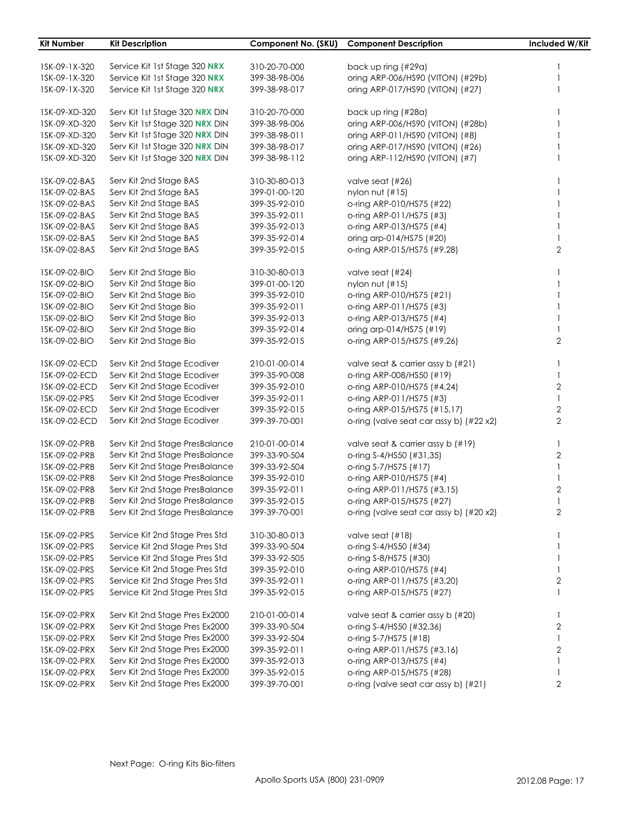| <b>Kit Number</b> | <b>Kit Description</b>         | Component No. (SKU) | <b>Component Description</b>            | Included W/Kit |
|-------------------|--------------------------------|---------------------|-----------------------------------------|----------------|
|                   |                                |                     |                                         |                |
| 1SK-09-1X-320     | Service Kit 1st Stage 320 NRX  | 310-20-70-000       | back up ring (#29a)                     |                |
| 1SK-09-1X-320     | Service Kit 1st Stage 320 NRX  | 399-38-98-006       | oring ARP-006/HS90 (VITON) (#29b)       |                |
| 1SK-09-1X-320     | Service Kit 1st Stage 320 NRX  | 399-38-98-017       | oring ARP-017/HS90 (VITON) (#27)        |                |
| 1SK-09-XD-320     | Serv Kit 1st Stage 320 NRX DIN | 310-20-70-000       | back up ring (#28a)                     |                |
| 1SK-09-XD-320     | Serv Kit 1st Stage 320 NRX DIN | 399-38-98-006       | oring ARP-006/HS90 (VITON) (#28b)       |                |
| 1SK-09-XD-320     | Serv Kit 1st Stage 320 NRX DIN | 399-38-98-011       | oring ARP-011/HS90 (VITON) (#8)         |                |
| 1SK-09-XD-320     | Serv Kit 1st Stage 320 NRX DIN | 399-38-98-017       | oring ARP-017/HS90 (VITON) (#26)        |                |
| 1SK-09-XD-320     | Serv Kit 1st Stage 320 NRX DIN | 399-38-98-112       | oring ARP-112/HS90 (VITON) (#7)         |                |
| 1SK-09-02-BAS     | Serv Kit 2nd Stage BAS         | 310-30-80-013       | valve seat (#26)                        |                |
| 1SK-09-02-BAS     | Serv Kit 2nd Stage BAS         | 399-01-00-120       | nylon nut $(\#15)$                      |                |
| 1SK-09-02-BAS     | Serv Kit 2nd Stage BAS         | 399-35-92-010       | o-ring ARP-010/HS75 (#22)               |                |
| 1SK-09-02-BAS     | Serv Kit 2nd Stage BAS         | 399-35-92-011       | o-ring ARP-011/HS75 (#3)                |                |
| 1SK-09-02-BAS     | Serv Kit 2nd Stage BAS         | 399-35-92-013       | o-ring ARP-013/HS75 (#4)                |                |
| 1SK-09-02-BAS     | Serv Kit 2nd Stage BAS         | 399-35-92-014       | oring arp-014/HS75 (#20)                |                |
| 1SK-09-02-BAS     | Serv Kit 2nd Stage BAS         | 399-35-92-015       | o-ring ARP-015/HS75 (#9,28)             | $\overline{2}$ |
| 1SK-09-02-BIO     | Serv Kit 2nd Stage Bio         | 310-30-80-013       | valve seat (#24)                        |                |
| 1SK-09-02-BIO     | Serv Kit 2nd Stage Bio         | 399-01-00-120       | nylon nut (#15)                         |                |
| 1SK-09-02-BIO     | Serv Kit 2nd Stage Bio         | 399-35-92-010       | o-ring ARP-010/HS75 (#21)               |                |
| 1SK-09-02-BIO     | Serv Kit 2nd Stage Bio         | 399-35-92-011       | o-ring ARP-011/HS75 (#3)                |                |
| 1SK-09-02-BIO     | Serv Kit 2nd Stage Bio         | 399-35-92-013       | o-ring ARP-013/HS75 (#4)                |                |
| 1SK-09-02-BIO     | Serv Kit 2nd Stage Bio         | 399-35-92-014       | oring arp-014/HS75 (#19)                |                |
| 1SK-09-02-BIO     | Serv Kit 2nd Stage Bio         | 399-35-92-015       | o-ring ARP-015/HS75 (#9,26)             | $\overline{2}$ |
| 1SK-09-02-ECD     | Serv Kit 2nd Stage Ecodiver    | 210-01-00-014       | valve seat & carrier assy b (#21)       | 1              |
| 1SK-09-02-ECD     | Serv Kit 2nd Stage Ecodiver    | 399-35-90-008       | o-ring ARP-008/HS50 (#19)               | 1              |
| 1SK-09-02-ECD     | Serv Kit 2nd Stage Ecodiver    | 399-35-92-010       | o-ring ARP-010/HS75 (#4,24)             | $\sqrt{2}$     |
| 1SK-09-02-PRS     | Serv Kit 2nd Stage Ecodiver    | 399-35-92-011       | o-ring ARP-011/HS75 (#3)                | $\mathbf{1}$   |
| 1SK-09-02-ECD     | Serv Kit 2nd Stage Ecodiver    | 399-35-92-015       | o-ring ARP-015/HS75 (#15,17)            | $\mathbf{2}$   |
| 1SK-09-02-ECD     | Serv Kit 2nd Stage Ecodiver    | 399-39-70-001       | o-ring (valve seat car assy b) (#22 x2) | $\overline{2}$ |
| 1SK-09-02-PRB     | Serv Kit 2nd Stage PresBalance | 210-01-00-014       | valve seat & carrier assy b (#19)       | $\mathbf{1}$   |
| 1SK-09-02-PRB     | Serv Kit 2nd Stage PresBalance | 399-33-90-504       | o-ring S-4/HS50 (#31,35)                | $\mathbf{2}$   |
| 1SK-09-02-PRB     | Serv Kit 2nd Stage PresBalance | 399-33-92-504       | o-ring S-7/HS75 (#17)                   | $\mathbf{1}$   |
| 1SK-09-02-PRB     | Serv Kit 2nd Stage PresBalance | 399-35-92-010       | o-ring ARP-010/HS75 (#4)                | 1              |
| 1SK-09-02-PRB     | Serv Kit 2nd Stage PresBalance | 399-35-92-011       | o-ring ARP-011/HS75 (#3,15)             | 2              |
| 1SK-09-02-PRB     | Serv Kit 2nd Stage PresBalance | 399-35-92-015       | o-ring ARP-015/HS75 (#27)               | 1              |
| 1SK-09-02-PRB     | Serv Kit 2nd Stage PresBalance | 399-39-70-001       | o-ring (valve seat car assy b) (#20 x2) | 2              |
| 1SK-09-02-PRS     | Service Kit 2nd Stage Pres Std | 310-30-80-013       | valve seat (#18)                        |                |
| 1SK-09-02-PRS     | Service Kit 2nd Stage Pres Std | 399-33-90-504       | o-ring S-4/HS50 (#34)                   | 1              |
| 1SK-09-02-PRS     | Service Kit 2nd Stage Pres Std | 399-33-92-505       | o-ring S-8/HS75 (#30)                   | 1              |
| 1SK-09-02-PRS     | Service Kit 2nd Stage Pres Std | 399-35-92-010       | o-ring ARP-010/HS75 (#4)                | -1             |
| 1SK-09-02-PRS     | Service Kit 2nd Stage Pres Std | 399-35-92-011       | o-ring ARP-011/HS75 (#3,20)             | 2              |
| 1SK-09-02-PRS     | Service Kit 2nd Stage Pres Std | 399-35-92-015       | o-ring ARP-015/HS75 (#27)               | 1              |
| 1SK-09-02-PRX     | Serv Kit 2nd Stage Pres Ex2000 | 210-01-00-014       | valve seat & carrier assy b (#20)       | 1              |
| 1SK-09-02-PRX     | Serv Kit 2nd Stage Pres Ex2000 | 399-33-90-504       | o-ring S-4/HS50 (#32,36)                | 2              |
| 1SK-09-02-PRX     | Serv Kit 2nd Stage Pres Ex2000 | 399-33-92-504       | o-ring S-7/HS75 (#18)                   |                |
| 1SK-09-02-PRX     | Serv Kit 2nd Stage Pres Ex2000 | 399-35-92-011       | o-ring ARP-011/HS75 (#3,16)             | 2              |
| 1SK-09-02-PRX     | Serv Kit 2nd Stage Pres Ex2000 | 399-35-92-013       | o-ring ARP-013/HS75 (#4)                | 1              |
| 1SK-09-02-PRX     | Serv Kit 2nd Stage Pres Ex2000 | 399-35-92-015       | o-ring ARP-015/HS75 (#28)               |                |
| 1SK-09-02-PRX     | Serv Kit 2nd Stage Pres Ex2000 | 399-39-70-001       | o-ring (valve seat car assy b) (#21)    | $\mathbf{2}$   |